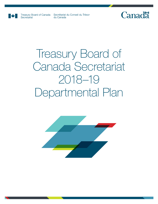

Secretariat

Treasury Board of Canada Secrétariat du Conseil du Trésor du Canada

## Canadä

# Treasury Board of Canada Secretariat 2018–19 Departmental Plan

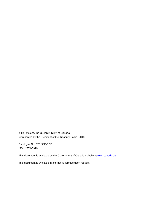© Her Majesty the Queen in Right of Canada, represented by the President of the Treasury Board, 2018

Catalogue No. BT1-38E-PDF ISSN 2371-8919

This document is available on the Government of Canada website at [www.canada.ca](https://www.canada.ca/home.html)

This document is available in alternative formats upon request.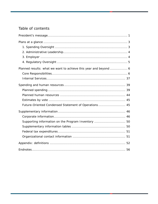## Table of contents

| Planned results: what we want to achieve this year and beyond  6 |  |
|------------------------------------------------------------------|--|
|                                                                  |  |
|                                                                  |  |
|                                                                  |  |
|                                                                  |  |
|                                                                  |  |
|                                                                  |  |
| Future-Oriented Condensed Statement of Operations 45             |  |
|                                                                  |  |
|                                                                  |  |
| Supporting information on the Program Inventory  50              |  |
|                                                                  |  |
|                                                                  |  |
|                                                                  |  |
|                                                                  |  |
|                                                                  |  |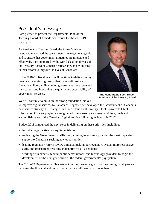## <span id="page-4-0"></span>President's message

I am pleased to present the Departmental Plan of the Treasury Board of Canada Secretariat for the 2018–19 fiscal year.

As President of Treasury Board, the Prime Minister mandated me to lead the government's management agenda and to ensure that government initiatives are implemented effectively. I am supported by the world-class employees of the Treasury Board of Canada Secretariat, who are untiring in their efforts to improve the lives of Canadians.

In the 2018–19 fiscal year, I will continue to deliver on my mandate by achieving results that make a difference in Canadians' lives, while making government more open and transparent, and improving the quality and accessibility of government services.



**The Honourable Scott Brison** President of the Treasury Board

We will continue to build on the strong foundation laid out

to improve digital services to Canadians. Together, we developed the Government of Canada's new service strategy, IT Strategic Plan, and Cloud First Strategy. I look forward to Chief Information Officers playing a strengthened role across government, and the growth and accomplishments of the Canadian Digital Service following its launch in 2017.

Budget 2018 announced the next steps in delivering on these priorities, including:

- $\rightarrow$  introducing proactive pay equity legislation
- reviewing the Government's skills programming to ensure it provides the most impactful support to Canadians seeking new opportunities
- $\blacktriangleright$  leading regulatory reform review aimed at making our regulatory system more responsive, agile, and transparent, resulting in benefits for all Canadians
- working with experts, federal public sector unions, and technology providers to begin the development of the next generation of the federal government's pay system

The 2018–19 Departmental Plan sets out our performance goals for the coming fiscal year and indicates the financial and human resources we will need to achieve them.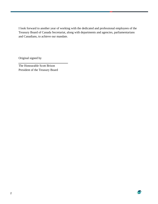I look forward to another year of working with the dedicated and professional employees of the Treasury Board of Canada Secretariat, along with departments and agencies, parliamentarians and Canadians, to achieve our mandate.

Original signed by

The Honourable Scott Brison President of the Treasury Board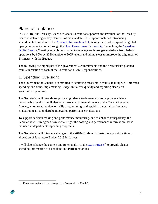## <span id="page-6-0"></span>Plans at a glance

In  $2017-18$  $2017-18$  $2017-18$ ,<sup>1</sup> the Treasury Board of Canada Secretariat supported the President of the Treasury Board in delivering on key elements of his mandate. This support included introducing amendments to modernize th[e Access to Information Act;](http://laws-lois.justice.gc.ca/eng/acts/a-1/)<sup>[i](#page-60-0)</sup> taking on a leadership role in global open government efforts through the [Open Government Partnership;](https://www.opengovpartnership.org/)<sup>[ii](#page-60-1)</sup> launching the Canadian [Digital Service;](https://digital.canada.ca/)<sup>[iii](#page-60-2)</sup> setting an ambitious target to reduce greenhouse gas emissions from federal operations by 80% by 2050 relative to 2005 levels; and taking steps to improve the alignment of Estimates with the Budget.

The following are highlights of the government's commitments and the Secretariat's planned results in relation to each of the Secretariat's Core Responsibilities.

## <span id="page-6-1"></span>1. Spending Oversight

The Government of Canada is committed to achieving measurable results, making well-informed spending decisions, implementing Budget initiatives quickly and reporting clearly on government spending.

The Secretariat will provide support and guidance to departments to help them achieve measureable results. It will also undertake a departmental review of the Canada Revenue Agency, a horizontal review of skills programming, and establish a central performance evaluation team to undertake innovation performance evaluations.

To support decision making and performance monitoring, and to enhance transparency, the Secretariat will strengthen how it challenges the costing and performance information that is included in departments' spending proposals.

The Secretariat will introduce changes to the 2018–19 Main Estimates to support the timely allocation of funding to Budget 2018 initiatives.

It will also enhance the content and functionality of the [GC InfoBase](https://www.tbs-sct.gc.ca/ems-sgd/edb-bdd/index-eng.html#start)<sup>[iv](#page-60-3)</sup> to provide clearer spending information to Canadians and Parliamentarians.

<span id="page-6-2"></span> $\overline{a}$ 1. Fiscal years referred to in this report run from April 1 to March 31.

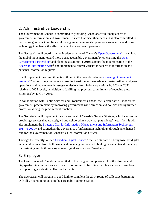## <span id="page-7-0"></span>2. Administrative Leadership

The Government of Canada is committed to providing Canadians with timely access to government information and government services that meet their needs. It is also committed to exercising good asset and financial management, making its operations low-carbon and using technology to enhance the effectiveness of government operations.

The Secretariat will coordinate the implementation of Canada's [Open Government](https://open.canada.ca/en)<sup>[v](#page-60-4)</sup> plans; lead the global movement toward more open, accessible government by co-chairing the [Open](https://www.opengovpartnership.org/)  [Government Partnership](https://www.opengovpartnership.org/)<sup>[vi](#page-60-5)</sup> and planning a summit in 2019; support the modernization of the [Access to Information Act;](http://laws-lois.justice.gc.ca/eng/acts/a-1/)<sup>[vii](#page-60-6)</sup> and implement a central website for access to information and personal information requests.

It will implement the commitments outlined in the recently released [Greening Government](https://www.canada.ca/en/treasury-board-secretariat/services/innovation/greening-government/strategy.html)  [Strategy](https://www.canada.ca/en/treasury-board-secretariat/services/innovation/greening-government/strategy.html)<sup>[viii](#page-60-7)</sup> to help the government make the transition to low-carbon, climate-resilient and green operations and reduce greenhouse gas emissions from federal operations by 80% by 2050 relative to 2005 levels, in addition to fulfilling the previous commitment of reducing these emissions by 40% by 2030.

In collaboration with Public Services and Procurement Canada, the Secretariat will modernize government procurement by improving government-wide direction and policies and by further professionalizing the procurement function.

The Secretariat will implement the Government of Canada's Service Strategy, which centres on providing services that are designed and delivered in a way that puts clients' needs first. It will also implement the [Strategic Plan for Information Management and Information Technology](https://www.canada.ca/en/treasury-board-secretariat/services/information-technology/information-technology-strategy/strategic-plan-2016-2020.html)   $2017$  to  $2021$ <sup>[ix](#page-60-8)</sup> and strengthen the governance of information technology through an enhanced role for the Government of Canada's Chief Information Officer.

Through the recently formed [Canadian Digital Service,](https://digital.canada.ca/)<sup>[x](#page-60-9)</sup> the Secretariat will bring together digital talent and partners from both inside and outside government to build government-wide capacity for designing and building easy-to-use digital services for Canadians.

#### <span id="page-7-1"></span>3. Employer

The Government of Canada is committed to fostering and supporting a healthy, diverse and high-performing public service. It is also committed to fulfilling its role as a modern employer by supporting good-faith collective bargaining.

The Secretariat will bargain in good faith to complete the 2014 round of collective bargaining with all 27 bargaining units in the core public administration.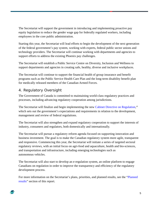The Secretariat will support the government in introducing and implementing proactive pay equity legislation to reduce the gender wage gap for federally regulated workers, including employees in the core public administration.

Starting this year, the Secretariat will lead efforts to begin the development of the next generation of the federal government's pay system, working with experts, federal public sector unions and technology providers. The Secretariat will continue working with departments and agencies to support efforts to address the existing Phoenix pay challenges.

The Secretariat will establish a Public Service Centre on Diversity, Inclusion and Wellness to support departments and agencies in creating safe, healthy, diverse and inclusive workplaces.

The Secretariat will continue to support the financial health of group insurance and benefit programs such as the Public Service Health Care Plan and the long-term disability benefit plan for medically released members of the Canadian Armed Forces.

## <span id="page-8-0"></span>4. Regulatory Oversight

The Government of Canada is committed to maintaining world-class regulatory practices and processes, including advancing regulatory cooperation among jurisdictions.

The Secretariat will finalize and begin implementing the new [Cabinet Directive on Regulation,](https://open.canada.ca/en/consult/draft/cabinet-directive/public-consultation-draft-cabinet-directive-regulation)<sup>[xi](#page-60-10)</sup> which sets out the government's expectations and requirements in relation to the development, management and review of federal regulations.

The Secretariat will also strengthen and expand regulatory cooperation to support the interests of industry, consumers and regulators, both domestically and internationally.

The Secretariat will pursue a regulatory reform agenda focused on supporting innovation and business investment. The goal is to make the Canadian regulatory system more agile, transparent and responsive. Commencing this year, the Secretariat will initiate a series of targeted sectoral regulatory reviews, with an initial focus on agri-food and aquaculture, health and bio-sciences, and transportation and infrastructure, including emerging technologies such as autonomous vehicles.

The Secretariat will also start to develop an e-regulation system, an online platform to engage Canadians on regulation in order to improve the transparency and efficiency of the regulatory development process.

For more information on the Secretariat's plans, priorities, and planned results, see the ["Planned](#page-9-0)  [results"](#page-9-0) section of this report.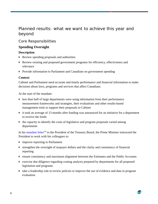## <span id="page-9-0"></span>Planned results: what we want to achieve this year and beyond

#### <span id="page-9-1"></span>Core Responsibilities

#### **Spending Oversight**

#### **Description**

- Review spending proposals and authorities
- Review existing and proposed government programs for efficiency, effectiveness and relevance
- **Provide information to Parliament and Canadians on government spending**

#### **Context**

Cabinet and Parliament need accurate and timely performance and financial information to make decisions about laws, programs and services that affect Canadians.

At the start of the mandate:

- $\blacktriangleright$  less than half of large departments were using information from their performance measurement frameworks and strategies, their evaluations and other results-based management tools to support their proposals to Cabinet
- it took an average of 13 months after funding was announced for an initiative for a department to receive the funds
- $\triangleright$  the capacity to identify the costs of legislative and program proposals varied among departments

In his [mandate letter](https://pm.gc.ca/eng/president-treasury-board-canada-mandate-letter)<sup>[xii](#page-60-11)</sup> to the President of the Treasury Board, the Prime Minister instructed the President to work with his colleagues to:

- improve reporting to Parliament
- strengthen the oversight of taxpayer dollars and the clarity and consistency of financial reporting
- ensure consistency and maximum alignment between the Estimates and the Public Accounts
- exercise due diligence regarding costing analysis prepared by departments for all proposed legislation and programs
- take a leadership role to review policies to improve the use of evidence and data in program evaluation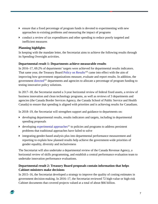- ensure that a fixed percentage of program funds is devoted to experimenting with new approaches to existing problems and measuring the impact of programs
- conduct a review of tax expenditures and other spending to reduce poorly targeted and inefficient measures

#### **Planning highlights**

In keeping with the mandate letter, the Secretariat aims to achieve the following results through its Spending Oversight activities.

#### **Departmental result 1: Departments achieve measurable results**

In 2016–17, 69.2% of departments' targets were achieved for departmental results indicators. That same year, the Treasury Board [Policy on Results](https://www.tbs-sct.gc.ca/pol/doc-eng.aspx?id=31300)<sup>[xiii](#page-60-12)</sup> came into effect with the aim of improving how government organizations measure, evaluate and report results. In addition, the government [directed](https://www.canada.ca/en/innovation-hub/services/reports-resources/experimentation-direction-deputy-heads.html)<sup>[xiv](#page-60-13)</sup> departments and agencies to allocate a percentage of program funding to testing innovative policy solutions.

In 2017–18, the Secretariat started a 3-year horizontal review of federal fixed assets, a review of business innovation and clean technology programs, as well as reviews of 3 departments and agencies (the Canada Border Services Agency, the Canada School of Public Service and Health Canada) to ensure that spending is aligned with priorities and is achieving results for Canadians.

In 2018–19, the Secretariat will strengthen support and guidance to departments on:

- developing departmental results, results indicators and targets, including in departmental spending proposals
- $\rightarrow$  developing [experimental approaches](https://www.canada.ca/en/innovation-hub/services/reports-resources/experimentation-direction-deputy-heads.html)<sup>[xv](#page-60-14)</sup> to policies and programs to address persistent problems that traditional approaches have failed to solve
- integrating gender-based analysis plus into departmental performance measurement and reporting to explain how planned results help achieve the government-wide priorities of gender equality, diversity and inclusiveness

The Secretariat will also undertake a departmental review of the Canada Revenue Agency, a horizontal review of skills programming, and establish a central performance evaluation team to undertake innovation performance evaluations.

#### **Departmental result 2: Treasury Board proposals contain information that helps Cabinet ministers make decisions**

In 2015–16, the Secretariat developed a strategy to improve the quality of costing estimates in government decision-making. In 2016–17, the Secretariat reviewed 72 high-value or high-risk Cabinet documents that covered projects valued at a total of about \$66 billion.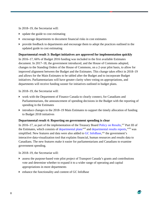In 2018–19, the Secretariat will:

- update the guide to cost estimating
- encourage departments to document financial risks in cost estimates
- provide feedback to departments and encourage them to adopt the practices outlined in the updated guide to cost estimating

#### **Departmental result 3: Budget initiatives are approved for implementation quickly**

In 2016–17, 66% of Budget 2016 funding was included in the first available Estimates document. In 2017–18, the government introduced, and the House of Commons adopted, changes to the Standing Orders of the House of Commons, on a 2-year pilot basis, to allow for improved alignment between the Budget and the Estimates. This change takes effect in 2018–19 and allows for the Main Estimates to be tabled after the Budget and to incorporate Budget initiatives. Parliamentarians will have greater clarity when voting on appropriations, and departments will receive funding sooner for initiatives outlined in budget plans.

In 2018–19, the Secretariat will:

- work with the Department of Finance Canada to clearly connect, for Canadians and Parliamentarians, the announcement of spending decisions in the Budget with the reporting of spending in the Estimates
- $\blacktriangleright$  introduce changes to the 2018–19 Main Estimates to support the timely allocation of funding to Budget 2018 initiatives

#### **Departmental result 4: Reporting on government spending is clear**

In 2016–17, as part of the implementation of the Treasury Board [Policy on Results,](https://www.tbs-sct.gc.ca/pol/doc-eng.aspx?id=31300)<sup>[xvi](#page-60-15)</sup> Part III of the Estimates, which consists of [departmental plans](https://www.canada.ca/en/treasury-board-secretariat/services/planned-government-spending/reports-plans-priorities.html)<sup>[xvii](#page-60-16)</sup> and [departmental results reports,](https://www.canada.ca/en/treasury-board-secretariat/services/departmental-performance-reports.html)<sup>xv[i](#page-60-17)ii</sup> was simplified. New features and data were also added to [GC InfoBase,](https://www.tbs-sct.gc.ca/ems-sgd/edb-bdd/index-eng.html#start)<sup>[xix](#page-60-18)</sup> the government's interactive data-visualization tool that explains financial, human resources and results data to Canadians. The new features make it easier for parliamentarians and Canadians to examine government spending.

In 2018–19, the Secretariat will:

- assess the purpose-based vote pilot project of Transport Canada's grants and contributions vote and determine whether to expand it to a wider range of operating and capital appropriations in more departments
- enhance the functionality and content of GC InfoBase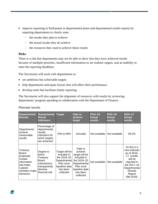- improve reporting to Parliament in departmental plans and departmental results reports by requiring departments to clearly state:
	- − the results they plan to achieve
	- − the actual results they do achieve
	- − the resources they used to achieve those results

#### **Risks**

There is a risk that departments may not be able to show that they have achieved results because of multiple priorities, insufficient information to set realistic targets, and an inability to meet the reporting deadlines.

The Secretariat will work with departments to:

- $\triangleright$  set ambitious but achievable targets
- $\blacktriangleright$  help departments anticipate factors that will affect their performance
- develop tools that facilitate timely reporting

The Secretariat will also support the alignment of resources with results by reviewing departments' program spending in collaboration with the Department of Finance.

| Planned results |
|-----------------|
|-----------------|

| <b>Departmental</b><br><b>Results</b>                                                                                   | <b>Departmental</b><br><b>Result</b><br><b>Indicators</b>                                                    | <b>Target</b>                                                                                                       | Date to<br>achieve<br>target                                                                                                              | $2014 - 15$<br><b>Actual</b><br>results | $2015 - 16$<br><b>Actual</b><br>results | $2016 - 17$<br><b>Actual</b><br>results                                                                                                                            |
|-------------------------------------------------------------------------------------------------------------------------|--------------------------------------------------------------------------------------------------------------|---------------------------------------------------------------------------------------------------------------------|-------------------------------------------------------------------------------------------------------------------------------------------|-----------------------------------------|-----------------------------------------|--------------------------------------------------------------------------------------------------------------------------------------------------------------------|
| Departments<br>achieve<br>measurable<br>results                                                                         | Percentage of<br>departmental<br>results<br>indicators for<br>which targets<br>are achieved                  | 70% to 80%                                                                                                          | Annually                                                                                                                                  |                                         | Not available   Not available           | 69.2%                                                                                                                                                              |
| Treasury<br><b>Board</b><br>proposals<br>contain<br>information<br>that helps<br>Cabinet<br>ministers make<br>decisions | Degree to<br>which<br>Treasury<br><b>Board</b><br>submissions<br>transparently<br>disclose<br>financial risk | Target will be<br>included in<br>the 2019-20<br>Departmental<br>Plan once<br>baseline data<br>has been<br>collected | Date to<br>achieve<br>target will be<br>included in<br>the 2019-20<br>Departmental<br>Plan once<br>baseline data<br>has been<br>collected | Not available                           | Not available                           | As this is a<br>new indicator<br>as of $2016-$<br>17, results<br>will be<br>reported in<br>the 2017-18<br>Departmental<br><b>Results</b><br>Report<br>(fall 2018). |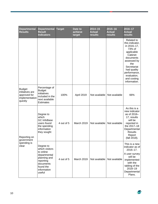| <b>Departmental</b><br><b>Results</b>                                         | <b>Departmental</b><br><b>Result</b><br><b>Indicators</b>                                                                                | <b>Target</b> | Date to<br>achieve<br>target | $2014 - 15$<br><b>Actual</b><br>results | $2015 - 16$<br><b>Actual</b><br>results | 2016-17<br><b>Actual</b><br>results                                                                                                                                                                            |
|-------------------------------------------------------------------------------|------------------------------------------------------------------------------------------------------------------------------------------|---------------|------------------------------|-----------------------------------------|-----------------------------------------|----------------------------------------------------------------------------------------------------------------------------------------------------------------------------------------------------------------|
|                                                                               |                                                                                                                                          |               |                              |                                         |                                         | Related to<br>this indicator,<br>in 2016-17,<br>73% of<br>applicable<br>Cabinet<br>documents<br>assessed by<br>the<br>Secretariat<br>had quality<br>performance,<br>evaluation,<br>and costing<br>information. |
| <b>Budget</b><br>initiatives are<br>approved for<br>implementation<br>quickly | Percentage of<br><b>Budget</b><br>initiatives<br>included in the<br>next available<br><b>Estimates</b>                                   | 100%          | April 2019                   | Not available                           | Not available                           | 66%                                                                                                                                                                                                            |
| Reporting on                                                                  | Degree to<br>which<br><b>GC InfoBase</b><br>users found<br>the spending<br>information<br>they sought                                    | 4 out of 5    | March 2019                   | Not available                           | Not available                           | As this is a<br>new indicator<br>as of 2016-<br>17, results<br>will be<br>reported in<br>the 2017-18<br>Departmental<br><b>Results</b><br>Report<br>(fall 2018).                                               |
| government<br>spending is<br>clear                                            | Degree to<br>which visitors<br>to online<br>departmental<br>planning and<br>reporting<br>documents<br>found the<br>information<br>useful | 4 out of 5    | March 2019                   | Not available                           | Not available                           | This is a new<br>indicator as of<br>2016-17.<br>A user survey<br>will be<br>implemented<br>with the<br>tabling of the<br>2018-19<br>Departmental<br>Plans.                                                     |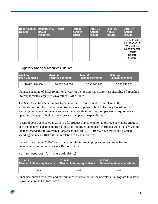| Departmental Departmental Target<br><b>Results</b> | <b>Result</b><br><b>Indicators</b> | Date to<br>achieve<br>target | $2014 - 15$<br><b>Actual</b><br><b>results</b> | 2015-16<br><b>Actual</b><br>results | 2016-17<br><b>Actual</b><br>results                                                                       |
|----------------------------------------------------|------------------------------------|------------------------------|------------------------------------------------|-------------------------------------|-----------------------------------------------------------------------------------------------------------|
|                                                    |                                    |                              |                                                |                                     | Results will<br>be reported in<br>the 2018-19<br>Departmental<br><b>Results</b><br>Report<br>(fall 2019). |

#### Budgetary financial resources (dollars)

| <b>2018–19</b>        | $2018 - 19$             | $2019 - 20$             | $2020 - 21$             |
|-----------------------|-------------------------|-------------------------|-------------------------|
| <b>Main Estimates</b> | <b>Planned spending</b> | <b>Planned spending</b> | <b>Planned spending</b> |
| 10,662,340,900        | 10,662,340,900          | 3,596,948,900           | 3,596,948,900           |

Planned spending of \$10,619 million a year for the Secretariat's Core Responsibility of Spending Oversight relates largely to Government-Wide Funds.

The Secretariat transfers funding from Government-Wide Funds to supplement the appropriations of other federal organizations, once approved by the Treasury Board, for items such as government contingencies, government-wide initiatives, compensation requirements, operating and capital budget carry forward, and paylist expenditures.

A central vote was created in 2018–19 for Budget implementation to provide new appropriations or to supplement existing appropriations for initiatives announced in Budget 2018 that are within the legal mandates of government organizations. The 2018–19 Main Estimates and planned spending include \$7,040 million in relation to these initiatives.

Planned spending in 2018–19 also includes \$44 million in program expenditures for the Secretariat to deliver on this Core Responsibility.

| 2018-19                              |     | $ 2019 - 20 $                        | $2020 - 21$                          |  |
|--------------------------------------|-----|--------------------------------------|--------------------------------------|--|
| <b>Planned full-time equivalents</b> |     | <b>Planned full-time equivalents</b> | <b>Planned full-time equivalents</b> |  |
|                                      | 316 | 316                                  | 316                                  |  |

Human resources (full-time equivalents)

Financial, human resources and performance information for the Secretariat's Program Inventory is available in the [GC InfoBase.](https://www.tbs-sct.gc.ca/ems-sgd/edb-bdd/index-eng.html)<sup>[xx](#page-60-19)</sup>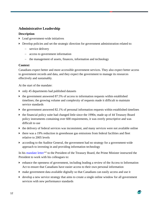## **Administrative Leadership**

#### **Description**

- Lead government-wide initiatives
- Develop policies and set the strategic direction for government administration related to:
	- − service delivery
	- − access to government information
	- − the management of assets, finances, information and technology

#### **Context**

Canadians expect better and more accessible government services. They also expect better access to government records and data, and they expect the government to manage its resources effectively and sustainably.

At the start of the mandate:

- only 45 departments had published datasets
- $\triangleright$  the government answered 87.5% of access to information requests within established timelines; the growing volume and complexity of requests made it difficult to maintain service standards
- $\blacktriangleright$  the government answered 82.1% of personal information requests within established timelines
- the financial policy suite had changed little since the 1990s; made up of 44 Treasury Board policy instruments containing over 600 requirements, it was overly prescriptive and was difficult to use
- $\blacktriangleright$  the delivery of federal services was inconsistent, and many services were not available online
- $\blacktriangleright$  there was a 19% reduction in greenhouse gas emissions from federal facilities and fleet relative to 2005 levels
- according to the Auditor General, the government had no strategy for a government-wide approach to investing in and providing information technology

In his [mandate letter](https://pm.gc.ca/eng/president-treasury-board-canada-mandate-letter)<sup>[xxi](#page-60-20)</sup> to the President of the Treasury Board, the Prime Minister instructed the President to work with his colleagues to:

- enhance the openness of government, including leading a review of the Access to Information Act to ensure that Canadians have easier access to their own personal information
- make government data available digitally so that Canadians can easily access and use it
- develop a new service strategy that aims to create a single online window for all government services with new performance standards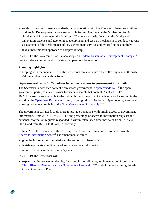- establish new performance standards, in collaboration with the Minister of Families, Children and Social Development, who is responsible for Service Canada, the Minister of Public Services and Procurement, the Minister of Democratic Institutions, and the Minister of Innovation, Science and Economic Development, and set up a mechanism to conduct rigorous assessments of the performance of key government services and report findings publicly
- $\triangleright$  take a more modern approach to comptrollership

In 2016–17, the Government of Canada adopted a [Federal Sustainable Development Strategy](http://fsds-sfdd.ca/index.html#/en/goals/)<sup>[xxii](#page-60-21)</sup> that includes a commitment to making its operations low-carbon.

#### **Planning highlights**

In keeping with the mandate letter, the Secretariat aims to achieve the following results through its Administrative Oversight activities.

#### **Departmental result 1: Canadians have timely access to government information**

The Secretariat added rich content from across government to [open.canada.ca,](http://open.canada.ca/en)<sup>xx[i](#page-60-22)ii</sup> the open government portal, to make it easier for users to search that content. As of 2016–17, 10,232 datasets were available to the public through the portal. Canada now ranks second in the world on the [Open Data Barometer](http://opendatabarometer.org/?_year=2016&indicator=ODB)<sup>[xxiv](#page-60-23)</sup> and, in recognition of its leadership on open government, is lead government co-chair of the [Open Government Partnership.](https://www.opengovpartnership.org/about/ogp-steering-committee) XXV

The government still needs to do more to provide Canadians with timely access to government information. From 2014–15 to 2016–17, the percentage of access to information requests and personal information requests responded to within established timelines went from 87.5% to 80.7% and from 82.1% to 80.4%, respectively.

In June 2017, the President of the Treasury Board proposed amendments to modernize the [Access to Information Act.](http://laws-lois.justice.gc.ca/eng/acts/a-1/)<sup>[xxvi](#page-60-25)</sup> The amendments would:

- $\rightarrow$  give the Information Commissioner the authority to issue orders
- **lacktria)** legislate proactive publication of key government information
- require a review of the act every  $5$  years

In 2018–19, the Secretariat will:

 expand and improve open data by, for example, coordinating implementation of the current [Third Biennial Plan to the Open Government Partnership](http://open.canada.ca/en/content/third-biennial-plan-open-government-partnership)<sup>xxvii</sup> [a](#page-60-26)nd of the forthcoming Fourth Open Government Plan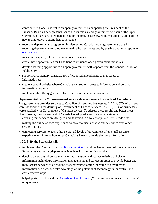- contribute to global leadership on open government by supporting the President of the Treasury Board as he represents Canada in its role as lead government co-chair of the Open Government Partnership, which aims to promote transparency, empower citizens, and harness new technologies to strengthen governance
- report on departments' progress on implementing Canada's open government plans by requiring departme[n](#page-60-27)ts to complete annual self-assessments and by posting quarterly reports on [open.canada.ca](http://open.canada.ca/en)<sup>xxviii</sup>
- invest in the quality of the content on open.canada.ca
- create more opportunities for Canadians to influence open government initiatives
- develop learning opportunities on open government with support from the Canada School of Public Service
- support Parliamentary consideration of proposed amendments to the Access to Information Act
- create a central website where Canadians can submit access to information and personal information requests
- implement the 30-day guarantee for requests for personal information

#### **Departmental result 2: Government service delivery meets the needs of Canadians**

The government provides services to Canadian citizens and businesses. In 2014, 57% of citizens were satisfied with the delivery of Government of Canada services. In 2016, 61% of businesses were satisfied with Government of Canada services. To address these results and better meet clients' needs, the Government of Canada has adopted a service strategy aimed at:

- ensuring that services are designed and delivered in a way that puts clients' needs first
- making the online service experience so easy that users choose online service over other service options
- connecting services to each other so that all levels of government offer a "tell-us-once" experience to minimize how often Canadians have to provide the same information

In 2018–19, the Secretariat will:

- implement the Treasury Board [Policy on Service](https://www.tbs-sct.gc.ca/pol/doc-eng.aspx?id=27916)<sup>[xxix](#page-60-28)</sup> and the Government of Canada Service Strategy by supporting departments in enhancing their online services
- develop a new digital policy to streamline, integrate and replace existing policies on information technology, information management, and service in order to provide better and more secure services to Canadians, transparently examine the value of government information and data, and take advantage of the potential of technology in innovative and cost-effective ways
- help departments, through the [Canadian Digital Service,](https://digital.canada.ca/)<sup>[xxx](#page-60-29)</sup> by building services to meet users' unique needs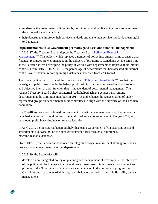- modernize the government's digital tools, both internal and public-facing tools, to better meet the expectations of Canadians
- $\blacktriangleright$  help departments improve their service standards and make their service standards meaningful to Canadians

#### **Departmental result 3: Government promotes good asset and financial management**

In 2016–17, the Treasury Board adopted the Treasury Board [Policy on Financial](https://www.tbs-sct.gc.ca/pol/doc-eng.aspx?id=32495)  [Management.](https://www.tbs-sct.gc.ca/pol/doc-eng.aspx?id=32495)<sup>[xxxi](#page-60-30)</sup> This policy, which replaced a number of policy instruments, aims to ensure that financial resources are well managed in the delivery of programs to Canadians. At the same time as the Secretariat was developing the policy, it worked with departments to improve their internal controls. From 2015–16 to 2016–17, the percentage of departments that had assessed all internal controls over financial reporting in high-risk areas increased from 77% to 94%.

The Treasury Board also updated the Treasury Board [Policy on Internal Audit](https://www.tbs-sct.gc.ca/pol/doc-eng.aspx?id=16484)<[s](#page-60-31)up>xxxii</sup> so that the oversight of public resources in the federal public administration is informed by a professional and objective internal audit function that is independent of departmental management. The renewed Treasury Board Policy on Internal Audit helped achieve gender parity among departmental audit committee members in 2017–18 and enhance the representation of underrepresented groups on departmental audit committees to align with the diversity of the Canadian population.

In 2017–18, to promote continued improvement in asset management practices, the Secretariat launched a 3-year horizontal review of federal fixed assets, as announced in Budget 2017, and developed preliminary findings on science facilities.

In April 2017, the Secretariat began publicly disclosing Government of Canada contracts and amendments over \$10,000 on the open government portal through a centralized, machine-readable database.

Over 2017–18, the Secretariat developed an integrated project management strategy to enhance project management maturity across departments.

In 2018–19, the Secretariat will:

 develop a new, integrated policy on planning and management of investments. The objective of the policy will be to ensure that federal government assets, investments, procurement and projects of the Government of Canada are well managed in the delivery of programs to Canadians and are safeguarded through well-balanced controls that enable flexibility and risk management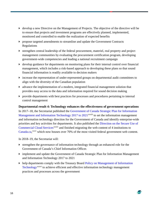- develop a new Directive on the Management of Projects. The objective of the directive will be to ensure that projects and investment programs are effectively planned, implemented, monitored and controlled to enable the realization of expected benefits
- propose targeted amendments to streamline and update the Government Contracts Regulations
- strengthen central leadership of the federal procurement, materiel, real property and project management communities by evaluating the procurement certification program, developing government-wide competencies and leading a national recruitment campaign
- $\blacktriangleright$  develop guidance for departments on monitoring plans for their internal control over financial management, which includes a risk-based approach to developing these plans so that sound financial information is readily available to decision makers
- increase the representation of under-represented groups on departmental audit committees to align with the diversity of the Canadian population
- $\blacktriangleright$  advance the implementation of a modern, integrated financial management solution that provides easy access to the data and information required for sound decision making
- provide departments with best practices for processes and procedures pertaining to internal control management

#### **Departmental result 4: Technology enhances the effectiveness of government operations**

In 2017–18, the Secretariat published the [Government of Canada Strategic Plan for Information](https://www.canada.ca/en/treasury-board-secretariat/services/information-technology/strategic-plan-2017-2021.html)  [Management and Information Technology 2017 to 2021](https://www.canada.ca/en/treasury-board-secretariat/services/information-technology/strategic-plan-2017-2021.html)<sup>xxx[i](#page-60-32)ii</sup> to set the information management and information technology direction for the Government of Canada and identify enterprise-wide priorities and key activities for departments. It also published the [Direction on the Secure Use of](https://www.canada.ca/en/treasury-board-secretariat/services/access-information-privacy/security-identity-management/direction-secure-use-commercial-cloud-services-spin.html)  [Commercial Cloud Services](https://www.canada.ca/en/treasury-board-secretariat/services/access-information-privacy/security-identity-management/direction-secure-use-commercial-cloud-services-spin.html)<sup>xxxi[v](#page-60-33)</sup> and finished migrating the web content of 4 institutions to [Canada.ca,](https://www.canada.ca/en.html)<sup>[xxxv](#page-60-34)</sup> which now houses over 70% of the most visited federal government web content.

In 2018–19, the Secretariat will:

- strengthen the governance of information technology through an enhanced role for the Government of Canada's Chief Information Officer.
- implement and update the Government of Canada Strategic Plan for Information Management and Information Technology 2017 to 2021
- help departments comply with the Treasury Board Policy on Management of Information [Technology](http://www.tbs-sct.gc.ca/pol/doc-eng.aspx?id=12755)<sup>xxxvi</sup> [t](#page-60-35)o achieve efficient and effective information technology management practices and processes across the government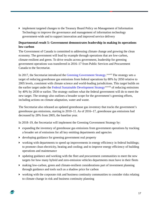implement targeted changes to the Treasury Board Policy on Management of Information Technology to improve the governance and management of information technology government-wide and to support innovation and improved service delivery

#### **Departmental result 5: Government demonstrates leadership in making its operations low-carbon**

The Government of Canada is committed to addressing climate change and growing the clean economy. The government will lead by example through operations that are low-carbon, climate-resilient and green. To drive results across government, leadership for greening government operations was transferred in 2016–17 from Public Services and Procurement Canada to the Secretariat.

In 2017, the Secretariat introduced the [Greening Government Strategy.](https://www.canada.ca/en/treasury-board-secretariat/services/innovation/greening-government/strategy.html) XXXVII [T](#page-60-36)he strategy sets a target of reducing greenhouse gas emissions from federal operations by 80% by 2050 relative to 2005 levels, consistent with climate science and world-leading jurisdictions. This target builds on the earlier target under the [Federal Sustainable Development Strategy](http://fsds-sfdd.ca/index.html#/en/goals/)<sup>xxxviii</sup> [o](#page-60-37)f reducing emissions by 40% by 2030 or earlier. The strategy outlines what the federal government will do to meet the new target. The strategy also outlines a broader scope for the government's greening efforts, including actions on climate adaptation, water and waste.

The Secretariat also released an updated greenhouse gas inventory that tracks the government's greenhouse gas emissions, starting in 2010–11. As of 2016–17, greenhouse gas emissions had decreased by 28% from 2005, the baseline year.

In 2018–19, the Secretariat will implement the Greening Government Strategy by:

- expanding the inventory of greenhouse gas emissions from government operations by tracking a broader set of emissions for all key emitting departments and agencies
- developing guidance for greening government real property
- working with departments to speed up improvements in energy efficiency in federal buildings; to promote clean electricity, heating and cooling; and to improve energy efficiency of building operations and maintenance
- updating guidance and working with the fleet and procurement communities to meet the new targets for how many hybrid and zero-emission vehicles departments must have in their fleets
- making low-carbon, green and climate-resilient considerations part of investment planning through guidance and tools such as a shadow price for carbon
- working with the corporate risk and business continuity communities to consider risks relating to climate change in risk and business continuity planning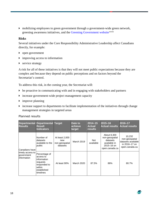mobilizing employees to green government through a government-wide green network, greening awareness initiatives, and the [Greening Government website](https://www.canada.ca/en/treasury-board-secretariat/services/innovation/greening-government.html)<sup>[x](#page-60-38)xxix</sup>

#### **Risks**

Several initiatives under the Core Responsibility Administrative Leadership affect Canadians directly, for example:

- open government
- $\rightarrow$  improving access to information
- service strategy

A risk for all of these initiatives is that they will not meet public expectations because they are complex and because they depend on public perceptions and on factors beyond the Secretariat's control.

To address this risk, in the coming year, the Secretariat will:

- be proactive in communicating with and in engaging with stakeholders and partners
- increase government-wide project management capacity
- $\rightarrow$  improve planning
- increase support to departments to facilitate implementation of the initiatives through change management strategies in targeted areas

| <b>Results</b>                                 | <b>Departmental Departmental Target</b><br><b>Result</b><br><b>Indicators</b>                               |                                                     | Date to<br>achieve<br>target | $2014 - 15$<br><b>Actual</b><br>results | $2015 - 16$<br><b>Actual results</b>                                                          | 2016-17<br><b>Actual results</b>                                                  |
|------------------------------------------------|-------------------------------------------------------------------------------------------------------------|-----------------------------------------------------|------------------------------|-----------------------------------------|-----------------------------------------------------------------------------------------------|-----------------------------------------------------------------------------------|
| Canadians have                                 | Number of<br>datasets<br>available to the<br>public                                                         | At least 2,000<br>new<br>non-geospatial<br>datasets | <b>March 2019</b>            | <b>Not</b><br>available                 | About 8,300<br>non-geospatial<br>datasets<br>available in<br>$2015 - 16$ on<br>open.canada.ca | 10,232<br>non-geospatial<br>datasets available<br>in 2016-17 on<br>open.canada.ca |
| timely access to<br>government<br>linformation | Percentage of<br>access to<br>information<br>requests<br>responded to<br>within<br>established<br>timelines | At least 90%                                        | March 2020                   | 87.5%                                   | 86%                                                                                           | 80.7%                                                                             |

#### Planned results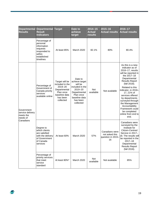| <b>Departmental</b><br><b>Results</b>                   | <b>Departmental</b><br><b>Result</b><br><b>Indicators</b>                                                  | <b>Target</b>                                                                                                       | Date to<br>achieve<br>target                                                                                                              | $2014 - 15$<br><b>Actual</b><br>results | 2015-16<br><b>Actual results</b>                            | 2016-17<br><b>Actual results</b>                                                                                                                                                                                                                                                                                                                                              |
|---------------------------------------------------------|------------------------------------------------------------------------------------------------------------|---------------------------------------------------------------------------------------------------------------------|-------------------------------------------------------------------------------------------------------------------------------------------|-----------------------------------------|-------------------------------------------------------------|-------------------------------------------------------------------------------------------------------------------------------------------------------------------------------------------------------------------------------------------------------------------------------------------------------------------------------------------------------------------------------|
|                                                         | Percentage of<br>personal<br>information<br>requests<br>responded to<br>within<br>established<br>timelines | At least 85%                                                                                                        | March 2020                                                                                                                                | 82.1%                                   | 80%                                                         | 80.4%                                                                                                                                                                                                                                                                                                                                                                         |
| Government<br>service delivery<br>meets the<br>needs of | Percentage of<br>Government of<br>Canada priority<br>services<br>available online                          | Target will be<br>included in the<br>2019-20<br>Departmental<br>Plan once<br>baseline data<br>has been<br>collected | Date to<br>achieve target<br>will be<br>included in the<br>2019-20<br>Departmental<br>Plan once<br>baseline data<br>has been<br>collected | <b>Not</b><br>available                 | Not available                                               | As this is a new<br>indicator as of<br>2016-17, results<br>will be reported in<br>the 2017-18<br>Departmental<br><b>Results Report</b><br>(fall 2018).<br>Related to this<br>indicator, in 2016-<br>17, 21% of<br>services offered<br>by departments<br>surveyed through<br>the Management<br>Accountability<br>Framework could<br>be completed<br>online from end to<br>end. |
| Canadians                                               | Degree to<br>which clients<br>are satisfied<br>with the delivery<br>of Government<br>of Canada<br>services | At least 60%                                                                                                        | <b>March 2020</b>                                                                                                                         | 57%                                     | Canadians were<br>not asked this<br>question in 2015-<br>16 | Canadians were<br>surveyed by the<br>Institute for<br>Citizen-Centred<br>Service in 2017-<br>18. The results will<br>be reported in the<br>$2017 - 18$<br>Departmental<br><b>Results Report</b><br>(fall 2018).                                                                                                                                                               |
|                                                         | Percentage of<br>priority services<br>that meet<br>service<br>standard                                     | At least 80%*                                                                                                       | March 2020                                                                                                                                | Not<br>available                        | Not available                                               | 85%                                                                                                                                                                                                                                                                                                                                                                           |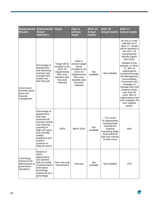| <b>Departmental</b><br><b>Results</b>                                      | <b>Departmental Target</b><br><b>Result</b><br><b>Indicators</b>                                                                                                                                                              |                                                                                                                     | Date to<br>achieve<br>target                                                                                                              | $2014 - 15$<br><b>Actual</b><br><b>results</b> | 2015-16<br><b>Actual results</b>                                                                                                                     | 2016-17<br><b>Actual results</b>                                                                                                                                                                                                                                                                                                                                                                                                                                               |
|----------------------------------------------------------------------------|-------------------------------------------------------------------------------------------------------------------------------------------------------------------------------------------------------------------------------|---------------------------------------------------------------------------------------------------------------------|-------------------------------------------------------------------------------------------------------------------------------------------|------------------------------------------------|------------------------------------------------------------------------------------------------------------------------------------------------------|--------------------------------------------------------------------------------------------------------------------------------------------------------------------------------------------------------------------------------------------------------------------------------------------------------------------------------------------------------------------------------------------------------------------------------------------------------------------------------|
| Government<br>promotes good<br>asset and<br>financial<br>management        | Percentage of<br>departments<br>that effectively<br>maintain and<br>manage their<br>assets over<br>their lifecycle                                                                                                            | Target will be<br>included in the<br>2019-20<br>Departmental<br>Plan once<br>baseline data<br>has been<br>collected | Date to<br>achieve target<br>will be<br>included in the<br>2019-20<br>Departmental<br>Plan once<br>baseline data<br>has been<br>collected | <b>Not</b><br>available                        | Not available                                                                                                                                        | As this is a new<br>indicator as of<br>2016-17, results<br>will be reported in<br>the 2017-18<br>Departmental<br><b>Results Report</b><br>(fall 2018).<br>Related to this<br>indicator, in 2016-<br>17, 88% of<br>organizations<br>surveyed through<br>the Management<br>Accountability<br>Framework had<br>strategies to<br>manage their real<br>property assets<br>over their life<br>cycle. 60% of<br>organizations had<br>such strategies for<br>their materiel<br>assets. |
|                                                                            | Percentage of<br>departments<br>that have<br>assessed all<br>internal controls<br>over financial<br>reporting in<br>high-risk areas<br>and annually<br>realign,<br>implement and<br>monitor<br>systems on<br>internal control | 100%                                                                                                                | <b>March 2019</b>                                                                                                                         | <b>Not</b><br>available                        | 77% of the<br>35 departments<br>assessed had<br>reached the<br>ongoing<br>monitoring stage<br>(had looked at<br>their key controls<br>at least once) | 94%                                                                                                                                                                                                                                                                                                                                                                                                                                                                            |
| Technology<br>enhances the<br>effectiveness of<br>government<br>operations | Degree to<br>which<br>departments<br>are satisfied<br>with the health<br>of government's<br>information<br>technology,<br>expressed as a<br>percentage                                                                        | Year-over-year<br>improvement                                                                                       | Annually                                                                                                                                  | <b>Not</b><br>available                        | Not available                                                                                                                                        | 37%                                                                                                                                                                                                                                                                                                                                                                                                                                                                            |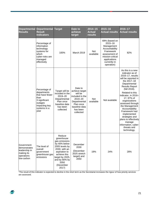| <b>Departmental</b><br><b>Results</b>                                                 | <b>Departmental</b><br><b>Result</b><br><b>Indicators</b>                                                                                                                                                                                           | <b>Target</b>                                                                                                                                                                               | Date to<br>achieve<br>target                                         | $2014 - 15$<br><b>Actual</b><br>results | 2015-16<br><b>Actual results</b>                                                                                                                                                                                                                                                                                                                                                                                                 | 2016-17<br><b>Actual results</b> |
|---------------------------------------------------------------------------------------|-----------------------------------------------------------------------------------------------------------------------------------------------------------------------------------------------------------------------------------------------------|---------------------------------------------------------------------------------------------------------------------------------------------------------------------------------------------|----------------------------------------------------------------------|-----------------------------------------|----------------------------------------------------------------------------------------------------------------------------------------------------------------------------------------------------------------------------------------------------------------------------------------------------------------------------------------------------------------------------------------------------------------------------------|----------------------------------|
|                                                                                       | Percentage of<br>information<br>technology<br>systems for<br>which<br>cyber-risks are<br>managed<br>effectively                                                                                                                                     | 100%                                                                                                                                                                                        | March 2019                                                           | <b>Not</b><br>available                 | 69% (based on<br>$2015 - 16$<br>Management<br>Accountability<br>Framework<br>assessment of<br>mission-critical<br>applications<br>currently in<br>operation)                                                                                                                                                                                                                                                                     | 82%                              |
|                                                                                       | Percentage of<br>Target will be<br>departments<br>included in the<br>that have fewer<br>2019-20<br>than<br>Departmental<br>3 significant<br>Plan once<br>outages<br>baseline data<br>impacting key<br>has been<br>systems in a<br>collected<br>year | Date to<br>achieve target<br>will be<br>included in the<br>2019-20<br>Departmental<br>Plan once<br>baseline data<br>has been<br>collected                                                   | <b>Not</b><br>available                                              | Not available                           | As this is a new<br>indicator as of<br>2016-17, results<br>will be reported in<br>the 2017-18<br>Departmental<br><b>Results Report</b><br>(fall 2018).<br>Related to this<br>indicator, in 2016-<br>17, 97% of<br>organizations<br>assessed through<br>the Management<br>Accountability<br>Framework had<br>implemented<br>strategies and<br>plans to effectively<br>manage<br>information, cyber-<br>threats and<br>technology. |                                  |
| Government<br>demonstrates<br>leadership in<br>making its<br>operations<br>low-carbon | The level of<br>overall<br>government<br>greenhouse gas<br>emissions                                                                                                                                                                                | Reduce<br>greenhouse<br>gas emissions<br>by 40% below<br>2005 levels by<br>2030, with an<br>aspiration to<br>achieve this<br>target by 2025,<br>and by 80% by<br>2050<br>(December<br>2017) | December<br>2030<br>(December<br>2025 stretch<br>target) and<br>2050 | 19%                                     | 24%                                                                                                                                                                                                                                                                                                                                                                                                                              | 28%                              |

\*The result of this indicator is expected to decline in the short term as the Secretariat increases the rigour of how priority services are assessed.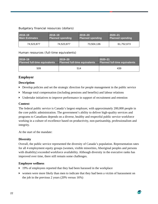#### Budgetary financial resources (dollars)

| 2018-19               | $ 2018 - 19 $           | $2019 - 20$             | $2020 - 21$             |
|-----------------------|-------------------------|-------------------------|-------------------------|
| <b>Main Estimates</b> | <b>Planned spending</b> | <b>Planned spending</b> | <b>Planned spending</b> |
| 74,523,877            | 74,523,877              | 73,504,136              | 61,752,673              |

Human resources (full-time equivalents)

| 2018-19                              | $2019 - 20$                          | $2020 - 21$                          |  |
|--------------------------------------|--------------------------------------|--------------------------------------|--|
| <b>Planned full-time equivalents</b> | <b>Planned full-time equivalents</b> | <b>Planned full-time equivalents</b> |  |
| 509                                  | 514                                  | 439                                  |  |

#### **Employer**

#### **Description**

- Develop policies and set the strategic direction for people management in the public service
- Manage total compensation (including pensions and benefits) and labour relations
- Undertake initiatives to improve performance in support of recruitment and retention

#### **Context**

The federal public service is Canada's largest employer, with approximately 200,000 people in the core public administration. The government's ability to deliver high-quality services and programs to Canadians depends on a diverse, healthy and respectful public service workforce working in a culture of excellence based on productivity, non-partisanship, professionalism and integrity.

At the start of the mandate:

#### **Diversity**

Overall, the public service represented the diversity of Canada's population. Representation rates for all 4 employment equity groups (women, visible minorities, Aboriginal peoples and persons with disability) exceeded workforce availability. Although diversity in the executive ranks has improved over time, there still remain some challenges.

#### **Employee wellness**

- ▶ 19% of employees reported that they had been harassed in the workplace
- women were more likely than men to indicate that they had been a victim of harassment on the job in the previous 2 years (20% versus 16%)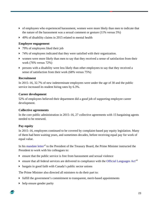- of employees who experienced harassment, women were more likely than men to indicate that the nature of the harassment was a sexual comment or gesture (11% versus 5%)
- ▶ 49% of disability claims in 2015 related to mental health

#### **Employee engagement**

- ▶ 79% of employees liked their job
- ▶ 74% of employees indicated that they were satisfied with their organization.
- women were more likely than men to say that they received a sense of satisfaction from their work (76% versus 72%)
- persons with a disability were less likely than other employees to say that they received a sense of satisfaction from their work (68% versus 75%)

#### **Recruitment**

In 2015–16, 32.7% of new indeterminate employees were under the age of 30 and the public service increased its student hiring rates by 6.3%.

#### **Career development**

52% of employees believed their department did a good job of supporting employee career development.

#### **Collective agreements**

In the core public administration in 2015–16, 27 collective agreements with 15 bargaining agents needed to be renewed.

#### **Pay equity**

In 2015–16, employees continued to be covered by complaint-based pay equity legislation. Many of them had been waiting years, and sometimes decades, before receiving equal pay for work of equal value.

In his [mandate letter](https://pm.gc.ca/eng/president-treasury-board-canada-mandate-letter)<sup>x1</sup> to the President of the Treasury Board, the Prime Minister instructed the President to work with his colleagues to:

- ensure that the public service is free from harassment and sexual violence
- $\triangleright$  ensure that all federal services are delivered in compliance with the [Official Languages](http://laws-lois.justice.gc.ca/eng/acts/O-3.01/) Act<sup>[xli](#page-60-40)</sup>
- $\triangleright$  bargain in good faith with Canada's public sector unions

The Prime Minister also directed all ministers to do their part to:

- $\blacktriangleright$  fulfill the government's commitment to transparent, merit-based appointments
- $\rightarrow$  help ensure gender parity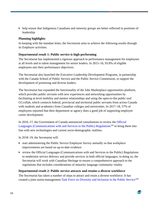help ensure that Indigenous Canadians and minority groups are better reflected in positions of leadership

#### **Planning highlights**

In keeping with the mandate letter, the Secretariat aims to achieve the following results through its Employer activities.

#### **Departmental result 1: Public service is high-performing**

The Secretariat has implemented a rigorous approach to performance management for employees at all levels and to talent management for senior leaders. In 2015–16, 93.8% of eligible employees met their performance objectives.

The Secretariat also launched the Executive Leadership Development Programs, in partnership with the Canada School of Public Service and the Public Service Commission, to support the development of promising and diverse leaders.

The Secretariat has expanded the functionality of the Jobs Marketplace opportunities platform, which provides public servants with new experiences and networking opportunities by facilitating at-level mobility and mentor relationships and using the open-to-the-public tool GCcollab, which connects federal, provincial and territorial public servants from across Canada with students and academics from Canadian colleges and universities. In 2017–18, 57% of employees reported that their department or agency does a good job of supporting employee career development.

In 2016–17, the Government of Canada announced consultations to review the [Official](http://laws.justice.gc.ca/eng/regulations/SOR-92-48/)  [Languages \(Communications with and Services to the Public\) Regulations](http://laws.justice.gc.ca/eng/regulations/SOR-92-48/)<sup>[xlii](#page-60-41)</sup> to bring them into line with new technologies and current socio-demographic realities.

In 2018–19, the Secretariat will:

- start administering the Public Service Employee Survey annually so that workplace improvements are based on up-to-date evidence
- review the Official Languages (Communications with and Services to the Public) Regulations to modernize service delivery and provide services in both official languages; in doing so, the Secretariat will work with Canadian Heritage to ensure a comprehensive approach to the regulations that includes considerations of minority language community vitality

#### **Departmental result 2: Public service attracts and retains a diverse workforce**

The Secretariat has taken a number of steps to attract and retain a diverse workforce. It has created a joint union-management [Task Force on Diversity and Inclusion in the Public Service](https://www.canada.ca/en/treasury-board-secretariat/services/values-ethics/diversity-equity/task-force-diversity-inclusion.html)<sup>xliii</sup>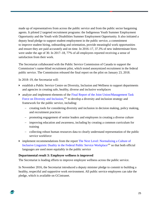made up of representatives from across the public service and from the public sector bargaining agents. It piloted 2 targeted recruitment programs: the Indigenous Youth Summer Employment Opportunity and the Youth with Disabilities Summer Employment Opportunity. It also initiated a deputy head pledge to support student employment in the public service, a commitment to improve student hiring, onboarding and orientation, provide meaningful work opportunities and ensure they are paid accurately and on time. In 2016–17, 37.3% of new indeterminate hires were under the age of 30. In 2017–18, 77% of all employees reported receiving a sense of satisfaction from their work.

The Secretariat collaborated with the Public Service Commission of Canada to support the Commission's name-blind recruitment pilot, which tested anonymized recruitment in the federal public service. The Commission released the final report on the pilot on January 23, 2018.

In 2018–19, the Secretariat will:

- establish a Public Service Centre on Diversity, Inclusion and Wellness to support departments and agencies in creating safe, healthy, diverse and inclusive workplaces
- analyze and implement elements of the [Final Report of the Joint Union/Management Task](https://www.canada.ca/en/treasury-board-secretariat/corporate/reports/building-diverse-inclusive-public-service-final-report-joint-union-management-task-force-diversity-inclusion.html)  [Force on Diversity and Inclusion,](https://www.canada.ca/en/treasury-board-secretariat/corporate/reports/building-diverse-inclusive-public-service-final-report-joint-union-management-task-force-diversity-inclusion.html)<sup>[xliv](#page-60-42)</sup> to develop a diversity and inclusion strategy and framework for the public service, including:
	- − creating tools for considering diversity and inclusion in decision making, policy making, and recruitment practices
	- − promoting engagement of senior leaders and employees in creating a diverse culture
	- − improving education and awareness, including by creating a common curriculum for training
	- − collecting robust human resources data to clearly understand representation of the public service workforce
- implement recommendations from the report [The Next Level: Normalizing a Culture of](https://www.canada.ca/en/privy-council/corporate/clerk/publications/next-level.html)  [Inclusive Linguistic Duality in the Federal Public Service Workplace](https://www.canada.ca/en/privy-council/corporate/clerk/publications/next-level.html)<sup>xly</sup> so that both official languages are used more equitably in the public service

#### **Departmental result 3: Employee wellness is improved**

The Secretariat is leading efforts to improve employee wellness across the public service.

In November 2016, the Secretariat introduced a deputy minister pledge to commit to building a healthy, respectful and supportive work environment. All public service employees can take the pledge, which is available on GCintranet.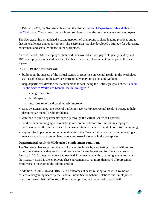In February 2017, the Secretariat launched the virtual [Centre of Expertise on Mental Health in](https://www.canada.ca/en/treasury-board-secretariat/topics/healthy-workplace/mental-health-workplace.html)  [the Workplace](https://www.canada.ca/en/treasury-board-secretariat/topics/healthy-workplace/mental-health-workplace.html)<sup>[xlvi](#page-60-12)</sup> with resources, tools and services to organizations, managers and employees.

The Secretariat has established a strong network of champions to share leading practices and to discuss challenges and opportunities. The Secretariat has also developed a strategy for addressing harassment and sexual violence in the workplace.

As of 2017–18, 56% of employees believed their workplace was psychologically healthy and 18% of employees indicated that they had been a victim of harassment on the job in the past 2 years.

In 2018–19, the Secretariat will:

- $\triangleright$  build upon the success of the virtual Centre of Expertise on Mental Health in the Workplace as it establishes a Public Service Centre on Diversity, Inclusion and Wellness
- $\blacktriangleright$  help departments develop their action plans for achieving the 3 strategic goals of the Federal [Public Service Workplace Mental Health Strategy:](https://www.canada.ca/en/treasury-board-secretariat/services/healthy-workplace/workplace-wellness/mental-health-workplace/federal-public-service-workplace-mental-health-strategy.html) xlvii
	- − change the culture
	- − build capacity
	- − measure, report and continuously improve
- raise awareness about the Federal Public Service Workplace Mental Health Strategy to help destigmatize mental health problems
- continue to build departments' capacity through the virtual Centre of Expertise
- work with bargaining agents to make joint recommendations for improving employee wellness across the public service for consideration in the next round of collective bargaining
- support the implementation of amendments to the Canada Labour Code by implementing a new strategy for addressing harassment and sexual violence in the workplace

#### **Departmental result 4: Modernized employment conditions**

The Secretariat has supported the workforce of the future by negotiating in good faith to reach collective agreements that are fair and reasonable for employees and for Canadians. As of January 1, 2018, the government had reached 21 agreements with bargaining agents for which the Treasury Board is the employer. These agreements cover more than 90% of represented employees in the core public administration.

In addition, in 2015–16 and 2016–17, all outcomes of cases relating to the 2014 round of collective bargaining heard by the Federal Public Sector Labour Relations and Employment Board confirmed that the Treasury Board, as employer, had bargained in good faith.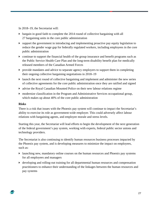In 2018–19, the Secretariat will:

- bargain in good faith to complete the 2014 round of collective bargaining with all 27 bargaining units in the core public administration
- $\blacktriangleright$  support the government in introducing and implementing proactive pay equity legislation to reduce the gender wage gap for federally regulated workers, including employees in the core public administration
- continue to support the financial health of the group insurance and benefit programs such as the Public Service Health Care Plan and the long-term disability benefit plan for medically released members of the Canadian Armed Forces
- provide mandates and advice to separate agency employers to support them in completing their ongoing collective bargaining negotiations in 2018–19
- launch the next round of collective bargaining and implement and administer the new series of collective agreements for the core public administration once they are ratified and signed
- advise the Royal Canadian Mounted Police on their new labour relations regime
- modernize classification in the Program and Administrative Services occupational group, which makes up about 40% of the core public administration

#### **Risks**

There is a risk that issues with the Phoenix pay system will continue to impact the Secretariat's ability to exercise its role as government-wide employer. This could adversely affect labour relations with bargaining agents, and employee morale and stress levels.

Starting this year, the Secretariat will lead efforts to begin the development of the next generation of the federal government's pay system, working with experts, federal public sector unions and technology providers.

The Secretariat is also continuing to identify human resources business processes impacted by the Phoenix pay system, and is developing measures to minimize the impact on employees, such as:

- launching new, mandatory online courses on the human resources and Phoenix pay systems for all employees and managers
- developing and rolling-out training for all departmental human resources and compensation practitioners to enhance their understanding of the linkages between the human resources and pay systems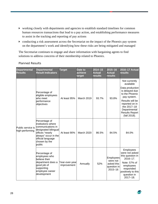- working closely with departments and agencies to establish standard timelines for common human resources transactions that lead to a pay action, and establishing performance measures to assist in the tracking and reporting of pay actions
- conducting a risk assessment across the Secretariat on the impact of the Phoenix pay system on the department's work and identifying how these risks are being mitigated and managed

The Secretariat continues to engage and share information with bargaining agents to find solutions to address concerns of their membership related to Phoenix.

| <b>Departmental</b><br><b>Results</b> | <b>Departmental</b><br><b>Result Indicators</b>                                                                                                                             | <b>Target</b>                                    | Date to<br>achieve<br>target                                      | $2014 - 15$<br><b>Actual</b><br>results                                                                                                                         | $2015 - 16$<br><b>Actual</b><br>results | 2016-17 Actual<br><b>results</b>                                                                          |
|---------------------------------------|-----------------------------------------------------------------------------------------------------------------------------------------------------------------------------|--------------------------------------------------|-------------------------------------------------------------------|-----------------------------------------------------------------------------------------------------------------------------------------------------------------|-----------------------------------------|-----------------------------------------------------------------------------------------------------------|
|                                       |                                                                                                                                                                             |                                                  |                                                                   |                                                                                                                                                                 |                                         | Not currently<br>available                                                                                |
|                                       | Percentage of<br>eligible employees<br>who meet                                                                                                                             | At least 95%                                     | <b>March 2019</b>                                                 | 93.7%                                                                                                                                                           | 93.8%                                   | Data production<br>is delayed due<br>to the Phoenix<br>pay system.                                        |
|                                       | performance<br>objectives                                                                                                                                                   |                                                  |                                                                   |                                                                                                                                                                 |                                         | Results will be<br>reported on in<br>the 2017-18<br>Departmental<br><b>Results Report</b><br>(fall 2018). |
| Public service is<br>high-performing  | Percentage of<br>institutions where<br>communications in<br>designated bilingual<br>offices "nearly<br>always" occur in the<br>official language<br>chosen by the<br>public | At least 90%                                     | March 2020                                                        | 86.5%                                                                                                                                                           | 84.5%                                   | 84.0%                                                                                                     |
|                                       | Percentage of<br>employees who<br>believe their<br>department does a<br>good job of<br>supporting<br>employee career<br>development                                         | Year-over-year<br>Annually<br>52%<br>improvement | Employees<br>were not<br>asked this<br>question in<br>$2015 - 16$ | Employees<br>were not asked<br>this question in<br>$2016 - 17$ .<br>Note: 57% of<br>employees<br>responded<br>positively to this<br>question in<br>$2017 - 18.$ |                                         |                                                                                                           |

#### Planned Results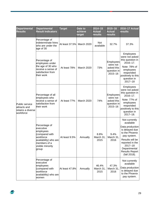| <b>Departmental</b><br><b>Results</b>                            | <b>Departmental</b><br><b>Result Indicators</b>                                                                                              | <b>Target</b>  | Date to<br>achieve<br>target | $2014 - 15$<br><b>Actual</b><br>results | $2015 - 16$<br><b>Actual</b><br>results                           | 2016-17 Actual<br>results                                                                                                                                                                                      |
|------------------------------------------------------------------|----------------------------------------------------------------------------------------------------------------------------------------------|----------------|------------------------------|-----------------------------------------|-------------------------------------------------------------------|----------------------------------------------------------------------------------------------------------------------------------------------------------------------------------------------------------------|
|                                                                  | Percentage of<br>indeterminate hires<br>who are under the<br>age of 30                                                                       | At least 37.5% | <b>March 2020</b>            | <b>Not</b><br>available                 | 32.7%                                                             | 37.3%                                                                                                                                                                                                          |
| Public service<br>attracts and<br>retains a diverse<br>workforce | Percentage of<br>employees under<br>the age of 30 who<br>receive a sense of<br>satisfaction from<br>their work                               | At least 78%   | March 2020                   | 73%                                     | Employees<br>were not<br>asked this<br>question in<br>$2015 - 16$ | <b>Employees</b><br>were not asked<br>this question in<br>2016-17.<br>Note: 78% of<br>employees<br>responded<br>positively to this<br>question in<br>$2017 - 18$                                               |
|                                                                  | Percentage of all<br>employees who<br>receive a sense of<br>satisfaction from<br>their work                                                  | At least 77%   | March 2020                   | 74%                                     | Employees<br>were not<br>asked this<br>question in<br>$2015 - 16$ | <b>Employees</b><br>were not asked<br>this question in<br>$2016 - 17$ .<br>Note: 77% of<br>employees<br>responded<br>positively to this<br>question in<br>2017-18.                                             |
|                                                                  | Percentage of<br>executive<br>employees<br>(compared with<br>workforce<br>availability) who are<br>members of a<br>visible minority<br>group | At least 9.5%  | Annually                     | 8.8%<br>March 31,<br>2015               | 9.4%<br>March 31,<br>2016                                         | Not currently<br>available<br>Data production<br>is delayed due<br>to the Phoenix<br>pay system.<br>Results will be<br>reported in the<br>$2017 - 18$<br>Departmental<br><b>Results Report</b><br>(fall 2018). |
|                                                                  | Percentage of<br>executive<br>employees<br>(compared with<br>workforce<br>availability) who are<br>women                                     | At least 47.8% | Annually                     | 46.4%<br>March 31,<br>2015              | 47.3%<br>March 31,<br>2016                                        | Not currently<br>available<br>Data production<br>is delayed due<br>to the Phoenix<br>pay system.                                                                                                               |

 $\Rightarrow$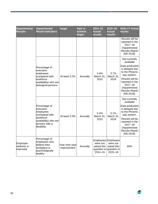| <b>Departmental</b><br><b>Results</b> | <b>Departmental</b><br><b>Result Indicators</b>                                                                                 | <b>Target</b>                 | Date to<br>achieve<br>target | $2014 - 15$<br><b>Actual</b><br>results                                                 | $2015 - 16$<br><b>Actual</b><br>results | 2016-17 Actual<br>results                                                                                                                                                                                      |
|---------------------------------------|---------------------------------------------------------------------------------------------------------------------------------|-------------------------------|------------------------------|-----------------------------------------------------------------------------------------|-----------------------------------------|----------------------------------------------------------------------------------------------------------------------------------------------------------------------------------------------------------------|
|                                       |                                                                                                                                 |                               |                              |                                                                                         |                                         | Results will be<br>reported in the<br>$2017 - 18$<br>Departmental<br><b>Results Report</b><br>(fall 2018).                                                                                                     |
|                                       | Percentage of<br>executive<br>employees<br>(compared with<br>workforce<br>availability) who are<br>Aboriginal persons           | At least 5.2%                 | Annually                     | 3.4%<br>March 31,<br>2015                                                               | 3.7%<br>March 31,<br>2016               | Not currently<br>available<br>Data production<br>is delayed due<br>to the Phoenix<br>pay system.<br>Results will be<br>reported in the<br>$2017 - 18$<br>Departmental<br><b>Results Report</b><br>(fall 2018). |
|                                       | Percentage of<br>executive<br>employees<br>(compared with<br>workforce<br>availability) who are<br>persons with a<br>disability | At least 5.3%                 | Annually                     | 5.3%<br>March 31,<br>2015                                                               | 5.1%<br>March 31,<br>2016               | Not currently<br>available<br>Data production<br>is delayed due<br>to the Phoenix<br>pay system.<br>Results will be<br>reported in the<br>$2017 - 18$<br>Departmental<br><b>Results Report</b><br>(fall 2018). |
| Employee<br>wellness is<br>improved   | Percentage of<br>employees who<br>believe their<br>workplace is<br>psychologically<br>healthy                                   | Year-over-year<br>improvement | Annually                     | Employees Employees<br>were not<br>asked this<br>question in question in<br>$2014 - 15$ | were not<br>asked this<br>$2015 - 16$   | 60%                                                                                                                                                                                                            |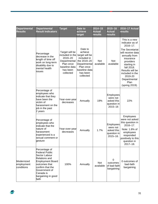| <b>Departmental</b><br><b>Results</b>  | <b>Departmental</b><br><b>Result Indicators</b>                                                                                                                                                              | <b>Target</b>                                                                                                       | Date to<br>achieve<br>target                                                                                                              | $2014 - 15$<br><b>Actual</b><br>results | $2015 - 16$<br><b>Actual</b><br>results                                   | 2016-17 Actual<br>results                                                                                                                                                                                                                               |
|----------------------------------------|--------------------------------------------------------------------------------------------------------------------------------------------------------------------------------------------------------------|---------------------------------------------------------------------------------------------------------------------|-------------------------------------------------------------------------------------------------------------------------------------------|-----------------------------------------|---------------------------------------------------------------------------|---------------------------------------------------------------------------------------------------------------------------------------------------------------------------------------------------------------------------------------------------------|
|                                        | Percentage<br>decrease in the<br>length of time off<br>work on long-term<br>disability due to<br>mental health<br>issues                                                                                     | Target will be<br>included in the<br>2019-20<br>Departmental<br>Plan once<br>baseline data<br>has been<br>collected | Date to<br>achieve<br>target will be<br>included in<br>the 2019-20<br>Departmental<br>Plan once<br>baseline data<br>has been<br>collected | Not<br>available                        | Not<br>available                                                          | This is a new<br>indicator as of<br>2016-17.<br>The Secretariat<br>will receive data<br>annually from<br>insurance<br>providers<br>starting in<br>fall 2018.<br>Results will be<br>included in the<br>2019-20<br>Departmental<br>Plan<br>(spring 2019). |
|                                        | Percentage of<br>employees who<br>indicate that they<br>have been the<br>victim of<br>harassment on the<br>job in the past<br>2 years                                                                        | Year-over-year<br>decreases                                                                                         | Annually                                                                                                                                  | 19%                                     | Employees<br>were not<br>asked this<br>question in<br>2015-16             | 22%                                                                                                                                                                                                                                                     |
|                                        | Percentage of<br>employees who<br>indicate that the<br>nature of<br>harassment<br>experienced is a<br>sexual comment or<br>gesture                                                                           | Year-over-year<br>decreases                                                                                         | Annually                                                                                                                                  | 1.7%                                    | <b>Employees</b><br>were not<br>asked this<br>question in<br>$2015 - 16.$ | Employees<br>were not asked<br>this question in<br>2016-17.<br>Note: 1.8% of<br>employees<br>responded<br>positively to this<br>question in<br>$2017 - 18.$                                                                                             |
| Modernized<br>employment<br>conditions | Percentage of<br><b>Federal Public</b><br>Sector Labour<br><b>Relations and</b><br><b>Employment Board</b><br>outcomes that<br>confirm that the<br>Government of<br>Canada is<br>bargaining in good<br>faith | 100%                                                                                                                | Annually                                                                                                                                  | <b>Not</b><br>available                 | 0<br>outcomes<br>of bad-faith<br>bargaining                               | 0 outcomes of<br>bad-faith<br>bargaining                                                                                                                                                                                                                |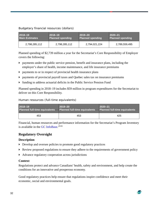#### Budgetary financial resources (dollars)

| 2018-19               | $2018 - 19$             | $2019 - 20$             | $2020 - 21$             |
|-----------------------|-------------------------|-------------------------|-------------------------|
| <b>Main Estimates</b> | <b>Planned spending</b> | <b>Planned spending</b> | <b>Planned spending</b> |
| 2,798,285,112         | 2,798,285,112           | 2,794,021,224           | 2,789,559,495           |

Planned spending of \$2,739 million a year for the Secretariat's Core Responsibility of Employer covers the following:

- payments under the public service pension, benefit and insurance plans, including the employer's share of health, income maintenance, and life insurance premiums
- payments to or in respect of provincial health insurance plans
- payments of provincial payroll taxes and Quebec sales tax on insurance premiums
- funding to address actuarial deficits in the Public Service Pension Fund

Planned spending in 2018–19 includes \$59 million in program expenditures for the Secretariat to deliver on this Core Responsibility.

Human resources (full-time equivalents)

| 2018-19                              | $2019 - 20$                   | $2020 - 21$                          |  |
|--------------------------------------|-------------------------------|--------------------------------------|--|
| <b>Planned full-time equivalents</b> | Planned full-time equivalents | <b>Planned full-time equivalents</b> |  |
| 453                                  | 453                           | 425                                  |  |

Financial, human resources and performance information for the Secretariat's Program Inventory is available in the [GC InfoBase.](https://www.tbs-sct.gc.ca/ems-sgd/edb-bdd/index-eng.html)<sup>xlviii</sup>

#### **Regulatory Oversight**

#### **Description**

- Develop and oversee policies to promote good regulatory practices
- Review proposed regulations to ensure they adhere to the requirements of government policy
- Advance regulatory cooperation across jurisdictions

#### **Context**

Regulations protect and advance Canadians' health, safety and environment, and help create the conditions for an innovative and prosperous economy.

Good regulatory practices help ensure that regulations inspire confidence and meet their economic, social and environmental goals.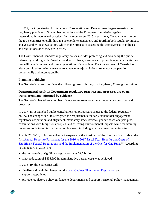In 2012, the Organisation for Economic Co-operation and Development began assessing the regulatory practices of 34 member countries and the European Commission against internationally recognized practices. In the most recent 2015 assessment, Canada ranked among the top 5 countries overall, third in stakeholder engagement, and fourth in both regulatory impact analysis and ex-post evaluation, which is the process of assessing the effectiveness of policies and regulations once they are in force.

The Government of Canada's regulatory policy includes protecting and advancing the public interest by working with Canadians and with other governments to promote regulatory activities that will benefit current and future generations of Canadians. The Government of Canada has also committed to taking measures to advance interjurisdictional regulatory cooperation, domestically and internationally.

#### **Planning highlights**

The Secretariat aims to achieve the following results through its Regulatory Oversight activities.

#### **Departmental result 1: Government regulatory practices and processes are open, transparent, and informed by evidence**

The Secretariat has taken a number of steps to improve government regulatory practices and processes.

In 2017–18, it launched public consultations on proposed changes to the federal regulatory policy. The changes seek to strengthen the requirements for early stakeholder engagement, regulatory cooperation and alignment, mandatory stock reviews, gender-based analysis plus, consultations with Indigenous peoples, and assessing environmental impacts while maintaining important tools to minimize burden on business, including small and medium enterprises.

Also in 2017–18, to further enhance transparency, the President of the Treasury Board tabled the firs[t Annual Report to Parliament for the 2016 to 2017 Fiscal Year: Benefits and Costs of](https://www.canada.ca/en/treasury-board-secretariat/corporate/reports/annual-report-parliament-2016-2017-fiscal-year-implementation-one-for-one-rule.html)  [Significant Federal Regulations, and the Implementation of the One-for-One Rule.](https://www.canada.ca/en/treasury-board-secretariat/corporate/reports/annual-report-parliament-2016-2017-fiscal-year-implementation-one-for-one-rule.html)<sup>[xlix](#page-60-44)</sup> According to this report, in 2016–17:

- $\blacktriangleright$  the net benefit of significant regulations was \$9.6 billion
- a net reduction of \$455,692 in administrative burden costs was achieved

In 2018–19, the Secretariat will:

- **Finalize and begin implementing the [draft Cabinet Directive on Regulation](https://open.canada.ca/en/consult/draft/cabinet-directive/public-consultation-draft-cabinet-directive-regulation)** and supporting policies
- provide regulatory policy guidance to departments and support horizontal policy management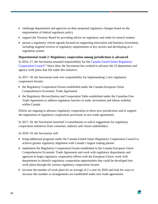- challenge departments and agencies on their proposed regulatory changes based on the requirements of federal regulatory policy
- support the Treasury Board by providing advice on regulatory and order-in-council matters
- $\blacktriangleright$  pursue a regulatory reform agenda focused on supporting innovation and business investment, including targeted reviews of regulatory requirements in key sectors and developing an eregulation system

#### **Departmental result 2: Regulatory cooperation among jurisdictions is advanced**

In 2016–17, the Secretariat assumed responsibility for the [Canada-United States Regulatory](https://www.canada.ca/en/treasury-board-secretariat/corporate/transparency/acts-regulations/canada-us-regulatory-cooperation-council.html)  [Cooperation Council.](https://www.canada.ca/en/treasury-board-secretariat/corporate/transparency/acts-regulations/canada-us-regulatory-cooperation-council.html)<sup>Ii</sup> Since then, the Secretariat has worked to advance the 23 department and agency work plans that fall under this initiative.

In 2017–18, the Secretariat took over responsibility for implementing 2 new regulatory cooperation forums:

- the Regulatory Cooperation Forum established under the Canada-European Union Comprehensive Economic Trade Agreement
- the Regulatory Reconciliation and Cooperation Table established under the Canadian Free Trade Agreement to address regulatory barriers to trade, investment and labour mobility within Canada

Efforts are ongoing to advance regulatory cooperation in these new jurisdictions and to support the negotiation of regulatory cooperation provisions in new trade agreements.

In 2017–18, the Secretariat launched 3 consultations to solicit suggestions for regulatory cooperation initiatives from consumer, industry and citizen stakeholders.

In 2018–19, the Secretariat will:

- bring additional programs under the Canada-United States Regulatory Cooperation Council to achieve greater regulatory alignment with Canada's largest trading partner
- implement the Regulatory Cooperation Forum established in the Canada-European Union Comprehensive Economic Trade Agreement and work with regulatory departments and agencies to begin regulatory cooperation efforts with the European Union; work with departments to identify regulatory cooperation opportunities that could be developed into work plans through the various regulatory cooperation forums
- increase the number of work plans by an average of 2 a year by 2020 and look for ways to increase this number as arrangements are established under new trade agreements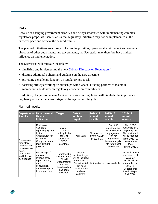#### **Risks**

Because of changing government priorities and delays associated with implementing complex regulatory proposals, there is a risk that regulatory initiatives may not be implemented at the expected pace and achieve the desired results.

The planned initiatives are closely linked to the priorities, operational environment and strategic direction of other departments and governments; the Secretariat may therefore have limited influence on implementation.

The Secretariat will mitigate the risk by:

- $\triangleright$  finalizing and implementing the new [Cabinet Directive on Regulation](https://open.canada.ca/en/consult/draft/cabinet-directive/public-consultation-draft-cabinet-directive-regulation)<sup>[lii](#page-60-21)</sup>
- drafting additional policies and guidance on the new directive
- providing a challenge function on regulatory proposals
- fostering strategic working relationships with Canada's trading partners to maintain momentum and deliver on regulatory cooperation commitments

In addition, changes to the new Cabinet Directive on Regulation will highlight the importance of regulatory cooperation at each stage of the regulatory lifecycle.

| <b>Results</b>                                             | <b>Departmental Departmental</b><br><b>Result</b><br><b>Indicators</b>                                                                   | <b>Target</b>                                                                                                       | Date to<br>achieve<br>target                                                                                                           | $2014 - 15$<br><b>Actual</b><br>results   | $2015 - 16$<br><b>Actual</b><br><b>results</b>                                                                                              | 2016-17<br><b>Actual</b><br><b>results</b>                                                                                                                         |
|------------------------------------------------------------|------------------------------------------------------------------------------------------------------------------------------------------|---------------------------------------------------------------------------------------------------------------------|----------------------------------------------------------------------------------------------------------------------------------------|-------------------------------------------|---------------------------------------------------------------------------------------------------------------------------------------------|--------------------------------------------------------------------------------------------------------------------------------------------------------------------|
| Government<br>regulatory<br>practices and<br>processes are | Ranking of<br>Canada's<br>regulatory system<br>by the<br>Organisation for<br>Economic<br>Co-operation and<br>Development<br>(OECD)       | Maintain<br>Canada's<br>ranking in the<br>top 5 of<br>participating<br><b>OECD</b><br>countries                     | April 2021                                                                                                                             | Not assessed<br>by the OECD<br>in 2014-15 | Out of 35<br>countries, 3rd<br>for stakeholder<br>engagement,<br>4th for<br>regulatory<br>impact analysis,<br>4th for ex-post<br>evaluation | The OECD<br>ranking is on a<br>3-year cycle.<br>The next result<br>will be reported<br>in the 2019-20<br>Departmental<br>Plan<br>(spring 2019).                    |
| open,<br>transparent,<br>and informed<br>by evidence       | Percentage of<br>regulatory<br>initiatives that<br>report on early<br>public<br>consultation<br>undertaken prior<br>to first publication | Target will be<br>included in the<br>2019-20<br>Departmental<br>Plan once<br>baseline data<br>has been<br>collected | Date to<br>achieve target<br>will be included<br>in the 2019-20<br>Departmental<br>Plan once<br>baseline data<br>has been<br>collected | Not available                             | Not available                                                                                                                               | As this is a new<br>indicator as of<br>$2016 - 17$ .<br>results will be<br>reported in the<br>$2017 - 18$<br>Departmental<br><b>Results Report</b><br>(fall 2018). |

#### Planned results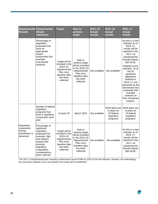| <b>Results</b>                                                     | <b>Departmental Departmental</b><br><b>Result</b><br><b>Indicators</b>                                                                                                                  | <b>Target</b>                                                                                                       | Date to<br>achieve<br>target                                                                                                           | $2014 - 15$<br><b>Actual</b><br><b>results</b> | $2015 - 16$<br><b>Actual</b><br><b>results</b>                         | $2016 - 17$<br><b>Actual</b><br>results                                                                                                                                                                                                                                                                                                                                                              |
|--------------------------------------------------------------------|-----------------------------------------------------------------------------------------------------------------------------------------------------------------------------------------|---------------------------------------------------------------------------------------------------------------------|----------------------------------------------------------------------------------------------------------------------------------------|------------------------------------------------|------------------------------------------------------------------------|------------------------------------------------------------------------------------------------------------------------------------------------------------------------------------------------------------------------------------------------------------------------------------------------------------------------------------------------------------------------------------------------------|
|                                                                    | Percentage of<br>regulatory<br>proposals that<br>have an<br>appropriate<br>impact<br>assessment (for<br>example,<br>cost-benefit<br>analysis)                                           | Target will be<br>included in the<br>2019-20<br>Departmental<br>Plan once<br>baseline data<br>has been<br>collected | Date to<br>achieve target<br>will be included<br>in the 2019-20<br>Departmental<br>Plan once<br>baseline data<br>has been<br>collected | Not available                                  | Not available*                                                         | As this is a new<br>indicator as of<br>$2016 - 17$ .<br>results will be<br>reported in the<br>$2017 - 18$<br>Departmental<br><b>Results Report</b><br>(fall 2018).<br>Related to this<br>indicator, 16 of<br>the $20$<br>significant<br>regulations<br>finalized in<br>2016-17 and<br>assessed by the<br>Secretariat had<br>proposals that<br>included<br>analyses of<br>their monetized<br>impacts. |
|                                                                    | Number of federal<br>regulatory<br>programs that<br>have a regulatory<br>cooperation work<br>plan                                                                                       | At least 29                                                                                                         | March 2020                                                                                                                             | Not available                                  | Work plans are<br>in place for<br>23 federal<br>regulatory<br>programs | Work plans are<br>in place for<br>23 federal<br>regulatory<br>programs.                                                                                                                                                                                                                                                                                                                              |
| Regulatory<br>cooperation<br>among<br>jurisdictions is<br>advanced | Percentage of<br>significant<br>regulatory<br>proposals (for<br>example, high<br>and medium<br>impact) that<br>promote<br>regulatory<br>cooperation<br>considerations,<br>when relevant | Target will be<br>included in the<br>2019-20<br>Departmental<br>Plan once<br>baseline data<br>has been<br>collected | Date to<br>achieve target<br>will be included<br>in the 2019-20<br>Departmental<br>Plan once<br>baseline data<br>has been<br>collected | Not available                                  | Not available                                                          | As this is a new<br>indicator as of<br>$2016 - 17$ ,<br>results will be<br>reported in the<br>$2017 - 18$<br>Departmental<br><b>Results Report</b><br>(fall 2018).                                                                                                                                                                                                                                   |

\*The 2017–18 departmental plan included a performance result of 99% for 2015–16 for this indicator. However, the methodology has since been updated, and a new baseline and target will be established.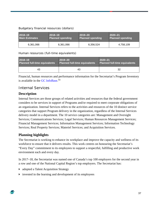#### Budgetary financial resources (dollars)

| 2018-19               | $ 2018 - 19 $           | $2019 - 20$             | $2020 - 21$             |
|-----------------------|-------------------------|-------------------------|-------------------------|
| <b>Main Estimates</b> | <b>Planned spending</b> | <b>Planned spending</b> | <b>Planned spending</b> |
| 6,361,066             | 6,361,066               | 6.356,524               | 4,758,109               |

#### Human resources (full-time equivalents)

| 2018-19                              | $2019 - 20$                   | $2020 - 21$                          |  |
|--------------------------------------|-------------------------------|--------------------------------------|--|
| <b>Planned full-time equivalents</b> | Planned full-time equivalents | <b>Planned full-time equivalents</b> |  |
| 43                                   | 43                            | 32                                   |  |

Financial, human resources and performance information for the Secretariat's Program Inventory is available in the [GC InfoBase.](https://www.tbs-sct.gc.ca/ems-sgd/edb-bdd/index-eng.html)<sup>[liii](#page-60-23)</sup>

## <span id="page-40-0"></span>Internal Services

#### **Description**

Internal Services are those groups of related activities and resources that the federal government considers to be services in support of Programs and/or required to meet corporate obligations of an organization. Internal Services refers to the activities and resources of the 10 distinct service categories that support Program delivery in the organization, regardless of the Internal Services delivery model in a department. The 10 service categories are: Management and Oversight Services; Communications Services; Legal Services; Human Resources Management Services; Financial Management Services; Information Management Services; Information Technology Services; Real Property Services; Materiel Services; and Acquisition Services.

#### **Planning highlights**

The Secretariat is working to enhance its workplace and improve the capacity and wellness of its workforce to ensure that it delivers results. This work centres on honouring the Secretariat's "Every Day" commitment to its employees to support a respectful, fulfilling and productive work environment each and every day.

In 2017–18, the Secretariat was named one of Canada's top 100 employers for the second year in a row and one of the National Capital Region's top employers. The Secretariat has:

- adopted a Talent Acquisition Strategy
- invested in the learning and development of its employees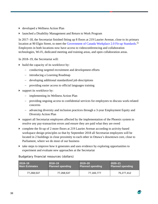- developed a Wellness Action Plan
- launched a Disability Management and Return to Work Program

In 2017–18, the Secretariat finished fitting up 8 floors at 219 Laurier Avenue, close to its primary location at 90 Elgin Street, to meet the [Government of Canada Workplace 2.0 Fit-up Standards.](http://www.tpsgc-pwgsc.gc.ca/biens-property/amng-ftp/index-eng.html) <sup>[liv](#page-60-47)</sup> Employees in both locations now have access to videoconferencing and collaboration technologies, Wi-Fi, dedicated meeting and training areas, and open collaboration areas.

In 2018–19, the Secretariat will:

- $\triangleright$  build the capacity of its workforce by:
	- conducting targeted recruitment and development efforts
	- − introducing a Learning Roadmap
	- − developing additional standardized job descriptions
	- − providing easier access to official languages training
- support its workforce by:
	- − implementing its Wellness Action Plan
	- − providing ongoing access to confidential services for employees to discuss work-related concerns
	- − advancing diversity and inclusion practices through a 3-year Employment Equity and Diversity Action Plan
- support all Secretariat employees affected by the implementation of the Phoenix system to resolve any pay-transaction errors and ensure they are paid what they are owed
- complete the fit-up of 2 more floors at 219 Laurier Avenue according to activity-based workspace design principles so that by September 2018 all Secretariat employees will be located in 2 buildings in close proximity to each other in Ottawa's downtown core, close to Parliament, where we do most of our business
- $\blacktriangleright$  take steps to improve how it generates and uses evidence by exploring opportunities to experiment and evaluate new approaches at the Secretariat

| $12018 - 19$          | $ 2018 - 19 $           | $2019 - 20$             | $ 2020 - 21$            |
|-----------------------|-------------------------|-------------------------|-------------------------|
| <b>Main Estimates</b> | <b>Planned spending</b> | <b>Planned spending</b> | <b>Planned spending</b> |
| 77,268,537            | 77,268,537              | 77,183,777              | 75,277,412              |

Budgetary financial resources (dollars)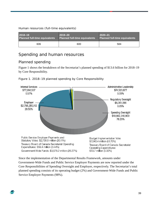Human resources (full-time equivalents)

| 2018-19                              | $2019 - 20$                          | $2020 - 21$                          |  |
|--------------------------------------|--------------------------------------|--------------------------------------|--|
| <b>Planned full-time equivalents</b> | <b>Planned full-time equivalents</b> | <b>Planned full-time equivalents</b> |  |
| 606                                  | 600                                  | 584                                  |  |

## <span id="page-42-0"></span>Spending and human resources

## <span id="page-42-1"></span>Planned spending

Figure 1 shows the breakdown of the Secretariat's planned spending of \$13.6 billion for 2018–19 by Core Responsibility.



Figure 1. 2018–19 planned spending by Core Responsibility

Since the implementation of the Departmental Results Framework, amounts under Government-Wide Funds and Public Service Employer Payments are now reported under the Core Responsibilities of Spending Oversight and Employer, respectively. The Secretariat's total planned spending consists of its operating budget (2%) and Government-Wide Funds and Public Service Employer Payments (98%).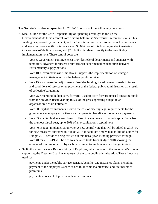The Secretariat's planned spending for 2018–19 consists of the following allocations:

- $\triangleright$  \$10.6 billion for the Core Responsibility of Spending Oversight to top up the Government-Wide Funds central vote funding held in the Secretariat's reference levels. This funding is approved by Parliament, and the Secretariat transfers it to individual departments and agencies once specific criteria are met. \$3.6 billion of this funding relates to existing Government-Wide Funds votes, and \$7.0 billion is related directly to the new Budget implementation vote. These central votes are:
	- − Vote 5, Government contingencies: Provides federal departments and agencies with temporary advances for urgent or unforeseen departmental expenditures between Parliamentary supply periods
	- − Vote 10, Government-wide initiatives: Supports the implementation of strategic management initiatives across the federal public service
	- − Vote 15, Compensation adjustments: Provides funding for adjustments made to terms and conditions of service or employment of the federal public administration as a result of collective bargaining
	- − Vote 25, Operating budget carry forward: Used to carry forward unused operating funds from the previous fiscal year, up to 5% of the gross operating budget in an organization's Main Estimates
	- − Vote 30, Paylist requirements: Covers the cost of meeting legal requirements for the government as employer for items such as parental benefits and severance payments
	- − Vote 35, Capital budget carry forward: Used to carry forward unused capital funds from the previous fiscal year, up to 20% of an organization's capital vote
	- − Vote 40, Budget implementation vote: A new central vote that will be added in 2018–19 for new measures approved in Budget 2018 to facilitate timely availability of supply for Budget 2018 activities being carried out this fiscal year. Funding provided through Vote 40 for 2018–19 will be tied to a detailed table from Budget 2018 showing the amount of funding required by each department to implement each budget initiative.
- $\triangleright$  \$2.8 billion for the Core Responsibility of Employer, which relates to the Secretariat's role in supporting the Treasury Board as employer of the core public administration. These funds are used for:
	- − payments under the public service pension, benefits, and insurance plans, including payment of the employer's share of health, income maintenance, and life insurance premiums
	- payments in respect of provincial health insurance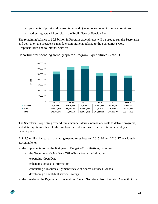- payments of provincial payroll taxes and Quebec sales tax on insurance premiums
- addressing actuarial deficits in the Public Service Pension Fund

The remaining balance of \$0.3 billion in Program expenditures will be used to run the Secretariat and deliver on the President's mandate commitments related to the Secretariat's Core Responsibilities and to Internal Services.



Departmental spending trend graph for Program Expenditures (Vote 1)

The Secretariat's operating expenditures include salaries, non-salary costs to deliver programs, and statutory items related to the employer's contributions to the Secretariat's employee benefit plans.

A \$42.5 million increase in operating expenditures between 2015–16 and 2016–17 was largely attributable to:

- $\blacktriangleright$  the implementation of the first year of Budget 2016 initiatives, including:
	- − the Government-Wide Back Office Transformation Initiative
	- − expanding Open Data
	- − enhancing access to information
	- − conducting a resource alignment review of Shared Services Canada
	- developing a client-first service strategy
- the transfer of the Regulatory Cooperation Council Secretariat from the Privy Council Office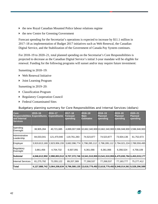- the new Royal Canadian Mounted Police labour relations regime
- $\triangleright$  the new Centre for Greening Government

Forecast spending for the Secretariat's operations is expected to increase by \$11.1 million in 2017–18 as implementation of Budget 2017 initiatives such as Web Renewal, the Canadian Digital Service, and the Stabilization of the Government of Canada Pay System continues.

For 2018–19 to 2020–21, total planned spending on the Secretariat's Core Responsibilities is projected to decrease as the Canadian Digital Service's initial 3-year mandate will be eligible for renewal. Funding for the following programs will sunset and/or may require future investment:

Sunsetting in 2018–19:

- Web Renewal Initiative
- Joint Learning Program

Sunsetting in 2019–20:

- Classification Program
- ▶ Regulatory Cooperation Council
- Federal Contaminated Sites

Budgetary planning summary for Core Responsibilities and Internal Services (dollars)

| <b>Core</b><br><b>Responsibilities</b><br>and Internal<br><b>Services</b> | $2015 - 16$<br><b>Expenditures</b> | 2016-17<br><b>Expenditures</b> | $2017 - 18$<br><b>Forecast</b><br>spending | 2018-19<br>Main<br><b>Estimates</b> | 2018-19<br><b>Planned</b><br>spending                                    | 2019-20<br><b>Planned</b><br>spending | 2020-21<br>Planned<br>spending |
|---------------------------------------------------------------------------|------------------------------------|--------------------------------|--------------------------------------------|-------------------------------------|--------------------------------------------------------------------------|---------------------------------------|--------------------------------|
| Spending<br>Oversight                                                     | 38,905,284                         | 40,721,685                     |                                            |                                     | 4,899,007,598 10,662,340,900 10,662,340,900 3,596,948,900 3,596,948,900  |                                       |                                |
| Administrative<br>Leadership                                              | 84,033,041                         | 121,470,940                    | 119,761,283                                | 74,523,877                          | 74,523,877                                                               | 73,504,136                            | 61,752,673                     |
| Employer                                                                  | 3,919,813,169                      | 2,823,956,155                  | 3,682,096,774                              | 2,798,285,112                       | 2,798,285,112 2,794,021,224 2,789,559,495                                |                                       |                                |
| Regulatory<br>Oversight                                                   | 3,861,456                          | 4,704,732                      | 6,507,091                                  | 6,361,066                           | 6,361,066                                                                | 6,356,524                             | 4,758,109                      |
| <b>Subtotal</b>                                                           | 4,046,612,950                      | 2,990,853,512                  |                                            |                                     | 8,707,372,746  13,541,510,955 13,541,510,955 6,470,830,784 6,453,019,177 |                                       |                                |
| <b>Internal Services</b>                                                  | 81,275,792                         | 73,355,122                     | 89,207,389                                 | 77,268,537                          | 77,268,537                                                               | 77,183,777                            | 75,277,412                     |
| Total                                                                     | 4,127,888,742                      | 3,064,208,634                  |                                            |                                     | 8,796,580,135 13,618,779,492 13,618,779,492 6,548,014,561 6,528,296,589  |                                       |                                |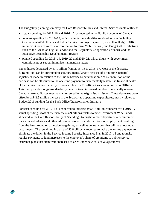The Budgetary planning summary for Core Responsibilities and Internal Services table outlines:

- actual spending for 2015–16 and 2016–17, as reported in the Public Accounts of Canada
- $\triangleright$  forecast spending for 2017–18, which reflects the authorities received to date, including Government-Wide Funds and Public Service Employer Payments, as well as Budget 2016 initiatives (such as Access to Information Reform, Web Renewal, and Budget 2017 initiatives such as the Canadian Digital Service and the Regulatory Cooperation Council), and the Executive Leadership Development Program
- $\triangleright$  planned spending for 2018–19, 2019–20 and 2020–21, which aligns with government commitments as set out in ministerial mandate letters

Expenditures decreased by \$1.1 billion from 2015–16 to 2016–17. Most of the decrease, \$718 million, can be attributed to statutory items, largely because of a one-time actuarial adjustment made in relation to the Public Service Superannuation Act; \$236 million of the decrease can be attributed to the one-time payment to incrementally restore the financial health of the Service Income Security Insurance Plan in 2015–16 that was not required in 2016–17. This plan provides long-term disability benefits to an increased number of medically released Canadian Armed Forces members who served in the Afghanistan mission. These decreases were offset by a \$42.5 million increase in the Secretariat's operating expenditures, mostly related to Budget 2016 funding for the Back Office Transformation Initiative.

<span id="page-46-0"></span>Forecast spending for 2017–18 is expected to increase by \$5.7 billion compared with 2016–17 actual spending. Most of the increase (\$4.9 billion) relates to new Government-Wide Funds allocated to the Core Responsibility of Spending Oversight to meet departmental requirements for increased salaries and other adjustments to terms and conditions of employment resulting from the latest round of collective bargaining, as well as central votes that will be allocated to departments. The remaining increase of \$0.8 billion is required to make a one-time payment to eliminate the deficit in the Service Income Security Insurance Plan in 2017–18 and to make regular payments to fund increases to the employer's share of premiums to public service insurance plans that stem from increased salaries under new collective agreements.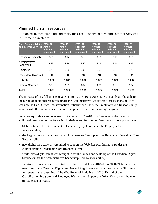## Planned human resources

Human resources planning summary for Core Responsibilities and Internal Services (full-time equivalents)

| <b>Core Responsibilities 2015-16</b><br>and Internal Services Actual | full-time<br>equivalents | 2016-17<br><b>Actual</b><br>full-time<br>equivalents | 2017-18<br><b>Forecast</b><br>full-time<br>equivalents | 2018-19<br><b>Planned</b><br>full-time<br>equivalents | $2019 - 20$<br><b>Planned</b><br>full-time<br>equivalents | $2020 - 21$<br><b>Planned</b><br>full-time<br>equivalents |
|----------------------------------------------------------------------|--------------------------|------------------------------------------------------|--------------------------------------------------------|-------------------------------------------------------|-----------------------------------------------------------|-----------------------------------------------------------|
| Spending Oversight                                                   | 316                      | 314                                                  | 318                                                    | 316                                                   | 316                                                       | 316                                                       |
| Administrative<br>Leadership                                         | 455                      | 538                                                  | 540                                                    | 509                                                   | 514                                                       | 439                                                       |
| Employer                                                             | 421                      | 456                                                  | 491                                                    | 453                                                   | 453                                                       | 425                                                       |
| <b>Regulatory Oversight</b>                                          | 30                       | 33                                                   | 43                                                     | 43                                                    | 43                                                        | 32                                                        |
| <b>Subtotal</b>                                                      | 1,222                    | 1,341                                                | 1,392                                                  | 1,321                                                 | 1,326                                                     | 1,212                                                     |
| <b>Internal Services</b>                                             | 585                      | 581                                                  | 607                                                    | 606                                                   | 600                                                       | 584                                                       |
| Total                                                                | 1,807                    | 1,922                                                | 1,999                                                  | 1,927                                                 | 1,926                                                     | 1,796                                                     |

The increase of 115 full-time equivalents from 2015–16 to 2016–17 was mainly attributable to the hiring of additional resources under the Administrative Leadership Core Responsibility to work on the Back Office Transformation Initiative and under the Employer Core Responsibility to work with the public service unions to implement the Joint Learning Program.

Full-time equivalents are forecasted to increase in 2017–18 by 77 because of the hiring of additional resources for the following initiatives and for Internal Services staff to support them:

- Stabilization of the Government of Canada Pay System (under the Employer Core Responsibility)
- the Regulatory Cooperation Council hired new staff to support the Regulatory Oversight Core Responsibility
- new digital web experts were hired to support the Web Renewal Initiative (under the Administrative Leadership Core Responsibility)
- world-class digital talent was brought in for the launch and scale-up of the Canadian Digital Service (under the Administrative Leadership Core Responsibility)
- Full-time equivalents are expected to decline by 131 from 2018–19 to 2020–21 because the mandates of the Canadian Digital Service and Regulatory Cooperation Council will come up for renewal; the sunsetting of the Web Renewal Initiative in 2018–19, and of the Classification Program, and Employee Wellness and Support in 2019–20 also contribute to the expected decrease.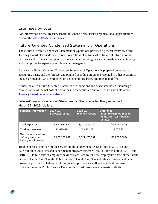## <span id="page-48-0"></span>Estimates by vote

For information on the Treasury Board of Canada Secretariat's organizational appropriations, consult the [2018–19 Main Estimates.](http://www.tbs-sct.gc.ca/hgw-cgf/finances/pgs-pdg/gepme-pdgbpd/index-eng.asp)<sup>[lv](#page-60-48)</sup>

## <span id="page-48-1"></span>Future-Oriented Condensed Statement of Operations

The Future-Oriented Condensed Statement of Operations provides a general overview of the Treasury Board of Canada Secretariat's operations. The forecast of financial information on expenses and revenues is prepared on an accrual accounting basis to strengthen accountability and to improve transparency and financial management.

Because the Future-Oriented Condensed Statement of Operations is prepared on an accrual accounting basis, and the forecast and planned spending amounts presented in other sections of the Departmental Plan are prepared on an expenditure basis, amounts may differ.

A more detailed Future-Oriented Statement of Operations and associated notes, including a reconciliation of the net cost of operations to the requested authorities, are available on the [Treasury Board Secretariat website.](https://www.canada.ca/en/treasury-board-secretariat.html)<sup>Ivi</sup>

Future-Oriented Condensed Statement of Operations for the year ended March 31, 2019 (dollars)

| <b>Financial information</b>                                         | $2017 - 18$<br><b>Forecast results</b> | $2018 - 19$<br><b>Planned results</b> | <b>Difference</b><br>(2018-19 Planned results<br>minus 2017-18 Forecast<br>results) |
|----------------------------------------------------------------------|----------------------------------------|---------------------------------------|-------------------------------------------------------------------------------------|
| Total expenses                                                       | 3,967,922,570                          | 3,034,925,039                         | (932,997,531)                                                                       |
| Total net revenues                                                   | 12,638,671                             | 13,446,208                            | 807,537                                                                             |
| Net cost of operations<br>before government<br>funding and transfers | 3,955,283,899                          | 3,021,478,831                         | (933, 805, 068)                                                                     |

Total expenses comprise public service employer payments (\$3.6 billion in 2017–18 and \$2.7 billion in 2018–19) and departmental program expenses (\$0.3 billion in both 2017–18 and 2018–19). Public service employer payments are used to fund the employer's share of the Public Service Health Care Plan, the Public Service Dental Care Plan and other insurance and benefit programs provided to federal public service employees, as well as the annual lump-sum contribution to the Public Service Pension Plan to address current actuarial deficits.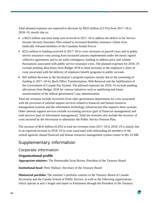Total planned expenses are expected to decrease by \$933 million (23.5%) from 2017–18 to 2018–19, mostly due to:

- a \$623 million one-time lump sum received in 2017–18 to address the deficit in the Service Income Security Insurance Plan related to increased disability insurance claims from medically released members of the Canadian Armed Forces
- $\triangleright$  \$253 million in funding received in 2017–18 to cover increases in payroll taxes and in public service insurance costs arising from increased salaries implemented under the newly signed collective agreements and to set aside contingency funding to address price and volume fluctuations associated with public service insurance costs. The planned expenses for 2018–19 exclude pending allocations from Budget 2018 to fund increases in the employer's share of costs associated with the delivery of employee benefit programs to public servants
- \$43 million decrease in the Secretariat's program expenses mostly due to the sunsetting of funding in 2017–18 for Back Office Transformation, Web Renewal and the Stabilization of the Government of Canada Pay System. The planned expenses for 2018–19 exclude pending allocations from Budget 2018 for various initiatives such as stabilizing and future transformation of the federal government's pay administration

Total net revenues include recoveries from other government departments for costs associated with the provision of internal support services related to financial and human resources management systems and the information technology infrastructure that supports these systems. Other internal support services include accounting services (part of financial management) and mail services (part of information management). Total net revenues also include the recovery of costs incurred by the Secretariat to administer the Public Service Pension Plan.

The increase of \$0.8 million (6.4%) in total net revenues from 2017–18 to 2018–19 is mainly due to an expected increase in 2018–19 in costs associated with onboarding all members of the central agencies shared financial and human resources management system cluster to My GCHR.

## <span id="page-49-0"></span>Supplementary information

## <span id="page-49-1"></span>Corporate information

#### **Organizational profile**

**Appropriate minister:** The Honourable Scott Brison, President of the Treasury Board

**Institutional head:** Peter Wallace, Secretary of the Treasury Board

**Ministerial portfolio:** The minister's portfolio consists of the Treasury Board of Canada Secretariat and the Canada School of Public Service, as well as the following organizations, which operate at arm's length and report to Parliament through the President of the Treasury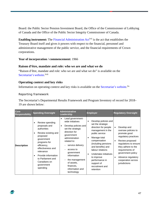Board: the Public Sector Pension Investment Board, the Office of the Commissioner of Lobbying of Canada and the Office of the Public Sector Integrity Commissioner of Canada.

**Enabling instrument:** The [Financial Administration Act](http://laws-lois.justice.gc.ca/eng/acts/F-11/)<sup>[lvii](#page-60-50)</sup> is the act that establishes the Treasury Board itself and gives it powers with respect to the financial, personnel and administrative management of the public service, and the financial requirements of Crown corporations.

**Year of incorporation / commencement:** 1966

#### **Raison d'être, mandate and role: who we are and what we do**

"Raison d'être, mandate and role: who we are and what we do" is available on the [Secretariat's](https://www.canada.ca/en/treasury-board-secretariat.html) webs[i](#page-60-51)te.<sup>Iviii</sup>

#### **Operating context and key risks**

Information on operating context and key risks is available on the [Secretariat's website.](https://www.canada.ca/en/treasury-board-secretariat.html)<sup>[lix](#page-60-52)</sup>

#### Reporting framework

÷

The Secretariat's Departmental Results Framework and Program Inventory of record for 2018– 19 are shown below:

| Core<br><b>Responsibility</b> | <b>Spending Oversight</b>                                                                                                                                                                                                                                                                      | <b>Administrative</b><br>Leadership                                                                                                                                                                                                                                                                                     | <b>Employer</b>                                                                                                                                                                                                                                                                                                                   | <b>Regulatory Oversight</b>                                                                                                                                                                                                                                                              |
|-------------------------------|------------------------------------------------------------------------------------------------------------------------------------------------------------------------------------------------------------------------------------------------------------------------------------------------|-------------------------------------------------------------------------------------------------------------------------------------------------------------------------------------------------------------------------------------------------------------------------------------------------------------------------|-----------------------------------------------------------------------------------------------------------------------------------------------------------------------------------------------------------------------------------------------------------------------------------------------------------------------------------|------------------------------------------------------------------------------------------------------------------------------------------------------------------------------------------------------------------------------------------------------------------------------------------|
| <b>Description</b>            | Review spending<br>$\bullet$<br>proposals and<br>authorities<br>Review existing and<br>$\bullet$<br>proposed<br>government<br>programs for<br>efficiency,<br>effectiveness and<br>relevance<br>Provide information<br>$\bullet$<br>to Parliament and<br>Canadians on<br>government<br>spending | Lead government-<br>$\bullet$<br>wide initiatives<br>Develop policies and<br>$\bullet$<br>set the strategic<br>direction for<br>government<br>administration<br>related to:<br>service delivery<br>access to<br>government<br>information<br>the management<br>of assets.<br>finances,<br>information and<br>technology | Develop policies and<br>$\bullet$<br>set the strategic<br>direction for people<br>management in the<br>public service<br>Manage total<br>٠<br>compensation<br>(including pensions<br>and benefits) and<br>labour relations<br>Undertake initiatives<br>to improve<br>performance in<br>support of<br>recruitment and<br>retention | Develop and<br>$\bullet$<br>oversee policies to<br>promote good<br>regulatory practices<br>Review proposed<br>$\bullet$<br>regulations to ensure<br>they adhere to the<br>requirements of<br>government policy<br>Advance regulatory<br>$\bullet$<br>cooperation across<br>jurisdictions |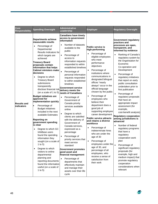| Core<br><b>Responsibility</b>     | <b>Spending Oversight</b>                                                                                                                                                                                                                                                                                                                                                                                                                                                                                                                                                                                                                                                                                                                                                                                                                                                                                                                                                       | <b>Administrative</b><br>Leadership                                                                                                                                                                                                                                                                                                                                                                                                                                                                                                                                                                                                                                                                                                                                                                                                                                                                                                                                                        | <b>Employer</b>                                                                                                                                                                                                                                                                                                                                                                                                                                                                                                                                                                                                                                                                                                                                                                                              | <b>Regulatory Oversight</b>                                                                                                                                                                                                                                                                                                                                                                                                                                                                                                                                                                                                                                                                                                                                                                                                                                                                                 |
|-----------------------------------|---------------------------------------------------------------------------------------------------------------------------------------------------------------------------------------------------------------------------------------------------------------------------------------------------------------------------------------------------------------------------------------------------------------------------------------------------------------------------------------------------------------------------------------------------------------------------------------------------------------------------------------------------------------------------------------------------------------------------------------------------------------------------------------------------------------------------------------------------------------------------------------------------------------------------------------------------------------------------------|--------------------------------------------------------------------------------------------------------------------------------------------------------------------------------------------------------------------------------------------------------------------------------------------------------------------------------------------------------------------------------------------------------------------------------------------------------------------------------------------------------------------------------------------------------------------------------------------------------------------------------------------------------------------------------------------------------------------------------------------------------------------------------------------------------------------------------------------------------------------------------------------------------------------------------------------------------------------------------------------|--------------------------------------------------------------------------------------------------------------------------------------------------------------------------------------------------------------------------------------------------------------------------------------------------------------------------------------------------------------------------------------------------------------------------------------------------------------------------------------------------------------------------------------------------------------------------------------------------------------------------------------------------------------------------------------------------------------------------------------------------------------------------------------------------------------|-------------------------------------------------------------------------------------------------------------------------------------------------------------------------------------------------------------------------------------------------------------------------------------------------------------------------------------------------------------------------------------------------------------------------------------------------------------------------------------------------------------------------------------------------------------------------------------------------------------------------------------------------------------------------------------------------------------------------------------------------------------------------------------------------------------------------------------------------------------------------------------------------------------|
| <b>Results and</b><br>lindicators | <b>Departments achieve</b><br>measurable results<br>$\bullet$<br>Percentage of<br>Departmental<br>Results Indicators for<br>which targets are<br>achieved<br><b>Treasury Board</b><br>proposals contain<br>information that helps<br><b>Cabinet ministers make</b><br>decisions<br>Degree to which<br>$\bullet$<br><b>Treasury Board</b><br>submissions<br>transparently<br>disclose financial risk<br>(on a scale of 1 to 5)<br><b>Budget initiatives are</b><br>approved for<br>implementation quickly<br>Percentage of<br><b>Budget initiatives</b><br>included in the next<br>available Estimates<br><b>Reporting on</b><br>government spending<br>lis clear<br>Degree to which GC<br>$\bullet$<br>InfoBase users<br>found the spending<br>information they<br>sought (on a scale of<br>1 to 5)<br>Degree to which<br>$\bullet$<br>visitors to online<br>departmental<br>planning and<br>reporting documents<br>found the information<br>useful (on a scale of<br>1 to $5)$ | <b>Canadians have timely</b><br>access to government<br>information<br>Number of datasets<br>$\bullet$<br>available to the<br>public<br>Percentage of<br>$\bullet$<br>access to<br>information requests<br>responded to within<br>established timelines<br>Percentage of<br>$\bullet$<br>personal information<br>requests responded<br>to within established<br>timelines<br><b>Government service</b><br>delivery meets the<br>needs of Canadians<br>$\bullet$<br>Percentage of<br>Government of<br>Canada priority<br>services available<br>online<br>Degree to which<br>$\bullet$<br>clients are satisfied<br>with the delivery of<br>Government of<br>Canada services,<br>expressed as a<br>percentage<br>Percentage of<br>priority services that<br>meet service<br>standard<br><b>Government promotes</b><br>good asset and<br>financial management<br>Percentage of<br>$\bullet$<br>departments that<br>effectively maintain<br>and manage their<br>assets over their life<br>cycle | <b>Public service is</b><br>high-performing<br>Percentage of<br>$\bullet$<br>eligible employees<br>who meet<br>performance<br>objectives<br>Percentage of<br>$\bullet$<br>institutions where<br>communications in<br>designated bilingual<br>offices "nearly<br>always" occur in the<br>official language<br>chosen by the public<br>Percentage of<br>$\bullet$<br>employees who<br>believe their<br>department does a<br>good job of<br>supporting employee<br>career development<br><b>Public service attracts</b><br>and retains a diverse<br>lworkforce<br>Percentage of<br>$\bullet$<br>indeterminate hires<br>who are under the<br>age of 30<br>Percentage of<br>employees under the<br>age of 30, and<br>percentage of all<br>employees, who<br>receive a sense of<br>satisfaction from<br>their work | <b>Government regulatory</b><br>practices and<br>processes are open,<br>transparent, and<br>informed by evidence<br>Ranking of Canada's<br>regulatory system by<br>the Organisation for<br>Economic<br>Co-operation and<br>Development<br>Percentage of<br>regulatory initiatives<br>that report on early<br>public consultation<br>undertaken prior to<br>first publication<br>Percentage of<br>regulatory proposals<br>that have an<br>appropriate impact<br>assessment (for<br>example,<br>cost-benefit analysis)<br><b>Regulatory cooperation</b><br>among jurisdictions is<br>advanced<br>Number of federal<br>$\bullet$<br>regulatory programs<br>that have a<br>regulatory<br>cooperation work<br>plan<br>$\bullet$<br>Percentage of<br>significant regulatory<br>proposals (for<br>example, high and<br>medium impact) that<br>promote regulatory<br>cooperation<br>considerations when<br>relevant |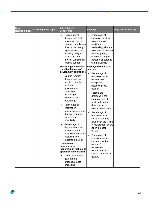| Core<br>Responsibility | <b>Spending Oversight</b> | <b>Administrative</b><br>Leadership                                                                                                                                                                                                                                                                                                                                                              | <b>Employer</b>                                                                                                                                                                                                                                                                                                                                                                                                              | <b>Regulatory Oversight</b> |
|------------------------|---------------------------|--------------------------------------------------------------------------------------------------------------------------------------------------------------------------------------------------------------------------------------------------------------------------------------------------------------------------------------------------------------------------------------------------|------------------------------------------------------------------------------------------------------------------------------------------------------------------------------------------------------------------------------------------------------------------------------------------------------------------------------------------------------------------------------------------------------------------------------|-----------------------------|
|                        |                           | Percentage of<br>$\bullet$<br>departments that<br>have assessed all<br>internal controls over<br>financial reporting in<br>high-risk areas and<br>annually realign,<br>implement and<br>monitor systems on<br>internal control                                                                                                                                                                   | Percentage of<br>executive employees<br>(compared with<br>workforce<br>availability) who are<br>members of a visible<br>minority group,<br>women, Aboriginal<br>persons, or persons<br>with a disability                                                                                                                                                                                                                     |                             |
|                        |                           | <b>Technology enhances</b><br>the effectiveness of<br>government operations                                                                                                                                                                                                                                                                                                                      | <b>Employee wellness is</b><br>improved<br>Percentage of                                                                                                                                                                                                                                                                                                                                                                     |                             |
|                        |                           | Degree to which<br>departments are<br>satisfied with the<br>health of<br>government's<br>information<br>technology,<br>expressed as a<br>percentage<br>Percentage of<br>$\bullet$<br>information<br>technology systems<br>that are managing<br>cyber-risks<br>effectively<br>Percentage of<br>departments that<br>have fewer than<br>3 significant outages<br>impacting key<br>systems in a year | employees who<br>believe their<br>workplace is<br>psychologically<br>healthy<br>Percentage<br>$\bullet$<br>decrease in the<br>length of time off<br>work on long-term<br>disability due to<br>mental health issues<br>Percentage of<br>$\bullet$<br>employees who<br>indicate that they<br>have been the victim<br>of harassment on the<br>job in the past<br>2 years<br>Percentage of<br>employees who<br>indicate that the |                             |
|                        |                           | <b>Government</b><br>demonstrates<br>leadership in making its<br>operations low-carbon                                                                                                                                                                                                                                                                                                           | nature of<br>harassment<br>experienced is a                                                                                                                                                                                                                                                                                                                                                                                  |                             |
|                        |                           | The level of overall<br>government<br>greenhouse gas<br>emissions                                                                                                                                                                                                                                                                                                                                | sexual comment or<br>gesture                                                                                                                                                                                                                                                                                                                                                                                                 |                             |

 $\Rightarrow$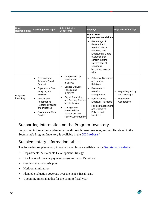| Core<br><b>Responsibility</b>                  | <b>Spending Oversight</b>                                                  | <b>Administrative</b><br>Leadership                                                                                                                                    | <b>Employer</b>                                                                                                                                                                                                            | <b>Regulatory Oversight</b>                               |                                           |
|------------------------------------------------|----------------------------------------------------------------------------|------------------------------------------------------------------------------------------------------------------------------------------------------------------------|----------------------------------------------------------------------------------------------------------------------------------------------------------------------------------------------------------------------------|-----------------------------------------------------------|-------------------------------------------|
|                                                |                                                                            |                                                                                                                                                                        | <b>Modernized</b><br>employment conditions                                                                                                                                                                                 |                                                           |                                           |
|                                                |                                                                            |                                                                                                                                                                        | Percentage of<br>$\bullet$<br><b>Federal Public</b><br>Service Labour<br><b>Relations and</b><br><b>Employment Board</b><br>outcomes that<br>confirm that the<br>Government of<br>Canada is<br>bargaining in good<br>faith |                                                           |                                           |
|                                                | Oversight and<br>٠<br><b>Treasury Board</b><br>Support                     | Comptrollership<br>$\bullet$<br>Policies and<br>Initiatives                                                                                                            | <b>Collective Bargaining</b><br>$\bullet$<br>and Labour<br><b>Relations</b>                                                                                                                                                |                                                           |                                           |
| $\bullet$<br>Program<br>inventory<br>$\bullet$ | Expenditure Data,<br>Analysis, and<br><b>Reviews</b>                       | Service Delivery<br>$\bullet$<br>Policies and<br>Initiatives<br>Digital Technology<br>$\bullet$<br>and Security Policies<br>and Initiatives<br>Management<br>$\bullet$ |                                                                                                                                                                                                                            | Pension and<br>$\bullet$<br><b>Benefits</b><br>Management | <b>Regulatory Policy</b><br>and Oversight |
|                                                | Results and<br>Performance<br><b>Reporting Policies</b><br>and Initiatives |                                                                                                                                                                        | <b>Public Service</b><br>$\bullet$<br><b>Employer Payments</b><br>People Management<br>$\bullet$<br>and Executive                                                                                                          | Regulatory<br>$\bullet$<br>Cooperation                    |                                           |
|                                                | Government-Wide<br>$\bullet$<br>Funds                                      | Accountability<br>Framework and<br><b>Policy Suite Integrity</b>                                                                                                       | Policies and<br>Initiatives                                                                                                                                                                                                |                                                           |                                           |

## <span id="page-53-0"></span>Supporting information on the Program Inventory

Supporting information on planned expenditures, human resources, and results related to the Secretariat's Program Inventory is available in the [GC InfoBase.](http://www.tbs-sct.gc.ca/ems-sgd/edb-bdd/index-eng.html#start)<sup>1x</sup>

## <span id="page-53-1"></span>Supplementary information tables

The following supplementary information tables are available on the [Secretariat's website.](https://www.canada.ca/en/treasury-board-secretariat.html)<sup>1xi</sup>

- Departmental Sustainable Development Strategy
- Disclosure of transfer payment programs under \$5 million
- Gender-based analysis plus
- $\blacktriangleright$  Horizontal initiatives
- Planned evaluation coverage over the next 5 fiscal years
- Upcoming internal audits for the coming fiscal year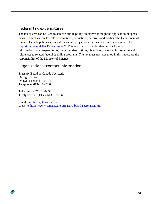## <span id="page-54-0"></span>Federal tax expenditures

The tax system can be used to achieve public policy objectives through the application of special measures such as low tax rates, exemptions, deductions, deferrals and credits. The Department of Finance Canada publishes cost estimates and projections for these measures each year in the [Report on Federal Tax Expenditures.](http://www.fin.gc.ca/purl/taxexp-eng.asp) <sup>Ixii</sup> This report also provides detailed background information on tax expenditures, including descriptions, objectives, historical information and references to related federal spending programs. The tax measures presented in this report are the responsibility of the Minister of Finance.

## <span id="page-54-1"></span>Organizational contact information

Treasury Board of Canada Secretariat 90 Elgin Street Ottawa, Canada K1A 0R5 Telephone: 613-369-3200

Toll-free: 1-877-636-0656 Teletypewriter (TTY): 613-369-9371

£

Email: [questions@tbs-sct.gc.ca](mailto:questions@tbs-sct.gc.ca) Website:<https://www.canada.ca/en/treasury-board-secretariat.html>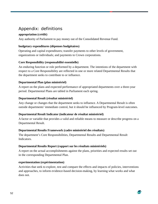## <span id="page-55-0"></span>Appendix: definitions

#### **appropriation (crédit)**

Any authority of Parliament to pay money out of the Consolidated Revenue Fund.

#### **budgetary expenditures (dépenses budgétaires)**

Operating and capital expenditures; transfer payments to other levels of government, organizations or individuals; and payments to Crown corporations.

#### **Core Responsibility (responsabilité essentielle)**

An enduring function or role performed by a department. The intentions of the department with respect to a Core Responsibility are reflected in one or more related Departmental Results that the department seeks to contribute to or influence.

#### **Departmental Plan (plan ministériel)**

A report on the plans and expected performance of appropriated departments over a three-year period. Departmental Plans are tabled in Parliament each spring.

#### **Departmental Result (résultat ministériel)**

Any change or changes that the department seeks to influence. A Departmental Result is often outside departments' immediate control, but it should be influenced by Program-level outcomes.

#### **Departmental Result Indicator (indicateur de résultat ministériel)**

A factor or variable that provides a valid and reliable means to measure or describe progress on a Departmental Result.

#### **Departmental Results Framework (cadre ministériel des résultats)**

The department's Core Responsibilities, Departmental Results and Departmental Result Indicators.

#### **Departmental Results Report (rapport sur les résultats ministériels)**

A report on the actual accomplishments against the plans, priorities and expected results set out in the corresponding Departmental Plan.

#### **experimentation (expérimentation)**

Activities that seek to explore, test and compare the effects and impacts of policies, interventions and approaches, to inform evidence-based decision-making, by learning what works and what does not.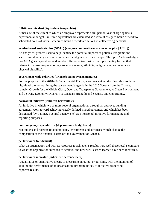#### **full-time equivalent (équivalent temps plein)**

A measure of the extent to which an employee represents a full person-year charge against a departmental budget. Full-time equivalents are calculated as a ratio of assigned hours of work to scheduled hours of work. Scheduled hours of work are set out in collective agreements.

#### **gender-based analysis plus (GBA+) (analyse comparative entre les sexes plus [ACS+])**

An analytical process used to help identify the potential impacts of policies, Programs and services on diverse groups of women, men and gender-diverse people. The "plus" acknowledges that GBA goes beyond sex and gender differences to consider multiple identity factors that intersect to make people who they are (such as race, ethnicity, religion, age, and mental or physical disability).

#### **government-wide priorities (priorités pangouvernementales)**

For the purpose of the 2018–19 Departmental Plan, government-wide priorities refers to those high-level themes outlining the government's agenda in the 2015 Speech from the Throne, namely: Growth for the Middle Class; Open and Transparent Government; A Clean Environment and a Strong Economy; Diversity is Canada's Strength; and Security and Opportunity.

#### **horizontal initiative (initiative horizontale)**

An initiative in which two or more federal organizations, through an approved funding agreement, work toward achieving clearly defined shared outcomes, and which has been designated (by Cabinet, a central agency, etc.) as a horizontal initiative for managing and reporting purposes.

#### **non-budgetary expenditures (dépenses non budgétaires)**

Net outlays and receipts related to loans, investments and advances, which change the composition of the financial assets of the Government of Canada.

#### **performance (rendement)**

What an organization did with its resources to achieve its results, how well those results compare to what the organization intended to achieve, and how well lessons learned have been identified.

#### **performance indicator (indicateur de rendement)**

A qualitative or quantitative means of measuring an output or outcome, with the intention of gauging the performance of an organization, program, policy or initiative respecting expected results.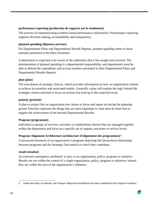#### **performance reporting (production de rapports sur le rendement)**

The process of communicating evidence-based performance information. Performance reporting supports decision making, accountability and transparency.

#### **planned spending (dépenses prévues)**

For Departmental Plans and Departmental Results Reports, planned spending refers to those amounts presented in the Main Estimates.

A department is expected to be aware of the authorities that it has sought and received. The determination of planned spending is a departmental responsibility, and departments must be able to defend the expenditure and accrual numbers presented in their Departmental Plans and Departmental Results Reports.

#### **plan (plan)**

The articulation of strategic choices, which provides information on how an organization intends to achieve its priorities and associated results. Generally a plan will explain the logic behind the strategies chosen and tend to focus on actions that lead up to the expected result.

#### **priority (priorité)**

A plan or project that an organization has chosen to focus and report on during the planning period. Priorities represent the things that are most important or what must be done first to support the achievement of the desired Departmental Results.

#### **Program (programme)**

Individual or groups of services, activities or combinations thereof that are managed together within the department and focus on a specific set of outputs, outcomes or service levels.

#### **Program Alignment Architecture (architecture d'alignement des programmes)**[2](#page-57-0)

A structured inventory of an organization's programs depicting the hierarchical relationship between programs and the Strategic Outcome(s) to which they contribute.

#### **result (résultat)**

An external consequence attributed, in part, to an organization, policy, program or initiative. Results are not within the control of a single organization, policy, program or initiative; instead they are within the area of the organization's influence.

<span id="page-57-0"></span> $\overline{a}$ 2. Under the Policy on Results, the Program Alignment Architecture has been replaced by the Program Inventory.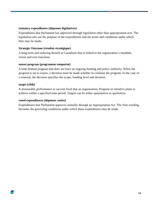#### **statutory expenditures (dépenses législatives)**

Expenditures that Parliament has approved through legislation other than appropriation acts. The legislation sets out the purpose of the expenditures and the terms and conditions under which they may be made.

#### **Strategic Outcome (résultat stratégique)**

A long-term and enduring benefit to Canadians that is linked to the organization's mandate, vision and core functions.

#### **sunset program (programme temporisé)**

A time-limited program that does not have an ongoing funding and policy authority. When the program is set to expire, a decision must be made whether to continue the program. In the case of a renewal, the decision specifies the scope, funding level and duration.

#### **target (cible)**

£

A measurable performance or success level that an organization, Program or initiative plans to achieve within a specified time period. Targets can be either quantitative or qualitative.

#### **voted expenditures (dépenses votées)**

Expenditures that Parliament approves annually through an Appropriation Act. The Vote wording becomes the governing conditions under which these expenditures may be made.

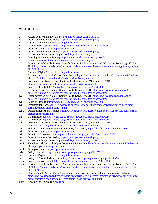## <span id="page-59-0"></span>**Endnotes**

- i. Access to Information Act,<http://laws-lois.justice.gc.ca/eng/acts/a-1/>  $\overline{a}$
- ii. Open Government Partnership,<https://www.opengovpartnership.org/>
- iii. Canadian Digital Service[, https://digital.canada.ca/](https://digital.canada.ca/)
- iv. GC InfoBase,<https://www.tbs-sct.gc.ca/ems-sgd/edb-bdd/index-eng.html#start>
- v. Open government,<https://open.canada.ca/en>
- vi. Open Government Partnership,<https://www.opengovpartnership.org/>
- vii. Access to Information Act,<http://laws-lois.justice.gc.ca/eng/acts/a-1/>
- viii. Greening Government Strategy[, https://www.canada.ca/en/treasury-board](https://www.canada.ca/en/treasury-board-secretariat/services/innovation/greening-government/strategy.html)[secretariat/services/innovation/greening-government/strategy.html](https://www.canada.ca/en/treasury-board-secretariat/services/innovation/greening-government/strategy.html)
- ix. Government of Canada Strategic Plan for Information Management and Information Technology 2017 to 2021, [https://www.canada.ca/en/treasury-board-secretariat/services/information-technology/strategic-plan-](https://www.canada.ca/en/treasury-board-secretariat/services/information-technology/strategic-plan-2017-2021.html)[2017-2021.html](https://www.canada.ca/en/treasury-board-secretariat/services/information-technology/strategic-plan-2017-2021.html)
- x. Canadian Digital Service[, https://digital.canada.ca/](https://digital.canada.ca/)
- xi. Consultation on the draft Cabinet Directive on Regulation, [https://open.canada.ca/en/consult/draft/cabinet](https://open.canada.ca/en/consult/draft/cabinet-directive/public-consultation-draft-cabinet-directive-regulation)[directive/public-consultation-draft-cabinet-directive-regulation](https://open.canada.ca/en/consult/draft/cabinet-directive/public-consultation-draft-cabinet-directive-regulation)
- xii. President of the Treasury Board of Canada Mandate Letter (November 12, 2015), <https://pm.gc.ca/eng/president-treasury-board-canada-mandate-letter>
- xiii. Policy on Results,<https://www.tbs-sct.gc.ca/pol/doc-eng.aspx?id=31300>
- xiv. Experimentation direction for Deputy Heads, December 2016, [https://www.canada.ca/en/innovation](https://www.canada.ca/en/innovation-hub/services/reports-resources/experimentation-direction-deputy-heads.html)[hub/services/reports-resources/experimentation-direction-deputy-heads.html](https://www.canada.ca/en/innovation-hub/services/reports-resources/experimentation-direction-deputy-heads.html)
- xv. Experimentation direction for Deputy Heads, December 2016, [https://www.canada.ca/en/innovation](https://www.canada.ca/en/innovation-hub/services/reports-resources/experimentation-direction-deputy-heads.html)[hub/services/reports-resources/experimentation-direction-deputy-heads.html](https://www.canada.ca/en/innovation-hub/services/reports-resources/experimentation-direction-deputy-heads.html)
- xvi. Policy on Results,<https://www.tbs-sct.gc.ca/pol/doc-eng.aspx?id=31300>
- xvii. Departmental Plans[, https://www.canada.ca/en/treasury-board-secretariat/services/planned-government](https://www.canada.ca/en/treasury-board-secretariat/services/planned-government-spending/reports-plans-priorities.html)[spending/reports-plans-priorities.html](https://www.canada.ca/en/treasury-board-secretariat/services/planned-government-spending/reports-plans-priorities.html)
- xviii. Departmental Results Reports, [https://www.canada.ca/en/treasury-board-secretariat/services/departmental](https://www.canada.ca/en/treasury-board-secretariat/services/departmental-performance-reports.html)[performance-reports.html](https://www.canada.ca/en/treasury-board-secretariat/services/departmental-performance-reports.html)
- xix. GC InfoBase,<https://www.tbs-sct.gc.ca/ems-sgd/edb-bdd/index-eng.html#start>
- xx. GC InfoBase,<https://www.tbs-sct.gc.ca/ems-sgd/edb-bdd/index-eng.html#start>
- xxi. President of the Treasury Board of Canada Mandate Letter (November 12, 2015), <https://pm.gc.ca/eng/president-treasury-board-canada-mandate-letter>
- xxii. Federal Sustainability Development Strategy for Canada,<http://fsds-sfdd.ca/index.html#/en/goals/>
- xxiii. Open government,<https://open.canada.ca/en>
- xxiv. Open Data Barometer[, https://opendatabarometer.org/?\\_year=2016&indicator=ODB](https://opendatabarometer.org/?_year=2016&indicator=ODB)
- xxv. Open Government Partnership,<https://www.opengovpartnership.org/>
- xxvi. Access to Information Act,<http://laws-lois.justice.gc.ca/eng/acts/a-1/>
- xxvii. Third Biennial Plan to the Open Government Partnership[, https://open.canada.ca/en/content/third-biennial](https://open.canada.ca/en/content/third-biennial-plan-open-government-partnership)[plan-open-government-partnership](https://open.canada.ca/en/content/third-biennial-plan-open-government-partnership)
- xxviii. Open government,<https://open.canada.ca/en>
- xxix. Policy on Service,<https://www.tbs-sct.gc.ca/pol/doc-eng.aspx?id=27916>
- xxx. Canadian Digital Service[, https://digital.canada.ca/](https://digital.canada.ca/)
- xxxi. Policy on Financial Management,<https://www.tbs-sct.gc.ca/pol/doc-eng.aspx?id=32495>
- xxxii. Policy on Internal Audit,<https://www.tbs-sct.gc.ca/pol/doc-eng.aspx?id=16484>
- xxxiii. Government of Canada Strategic Plan for Information Management and Information Technology 2017 to 2021, [https://www.canada.ca/en/treasury-board-secretariat/services/information-technology/strategic-plan-](https://www.canada.ca/en/treasury-board-secretariat/services/information-technology/strategic-plan-2017-2021.html)[2017-2021.html](https://www.canada.ca/en/treasury-board-secretariat/services/information-technology/strategic-plan-2017-2021.html)
- xxxiv. Direction on the Secure Use of Commercial Cloud Services: Security Policy Implementation Notice, [https://www.canada.ca/en/treasury-board-secretariat/services/access-information-privacy/security-identity](https://www.canada.ca/en/treasury-board-secretariat/services/access-information-privacy/security-identity-management/direction-secure-use-commercial-cloud-services-spin.html)[management/direction-secure-use-commercial-cloud-services-spin.html](https://www.canada.ca/en/treasury-board-secretariat/services/access-information-privacy/security-identity-management/direction-secure-use-commercial-cloud-services-spin.html)
- xxxv. Government of Canada, [Canada.ca](https://www.canada.ca/en.html)